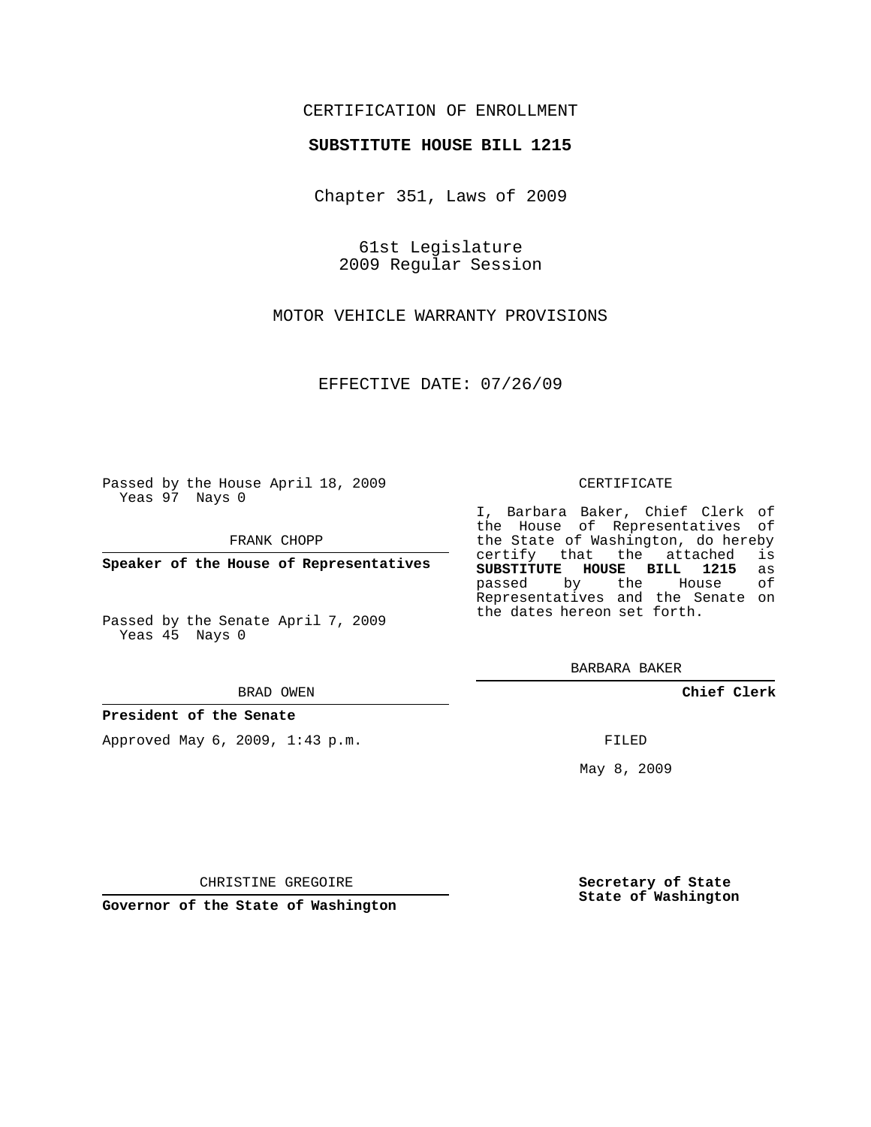## CERTIFICATION OF ENROLLMENT

#### **SUBSTITUTE HOUSE BILL 1215**

Chapter 351, Laws of 2009

61st Legislature 2009 Regular Session

MOTOR VEHICLE WARRANTY PROVISIONS

EFFECTIVE DATE: 07/26/09

Passed by the House April 18, 2009 Yeas 97 Nays 0

FRANK CHOPP

**Speaker of the House of Representatives**

Passed by the Senate April 7, 2009 Yeas 45 Nays 0

BRAD OWEN

**President of the Senate**

Approved May 6, 2009, 1:43 p.m.

#### CERTIFICATE

I, Barbara Baker, Chief Clerk of the House of Representatives of the State of Washington, do hereby<br>certify that the attached is certify that the attached **SUBSTITUTE HOUSE BILL 1215** as passed by the Representatives and the Senate on the dates hereon set forth.

BARBARA BAKER

**Chief Clerk**

FILED

May 8, 2009

**Secretary of State State of Washington**

CHRISTINE GREGOIRE

**Governor of the State of Washington**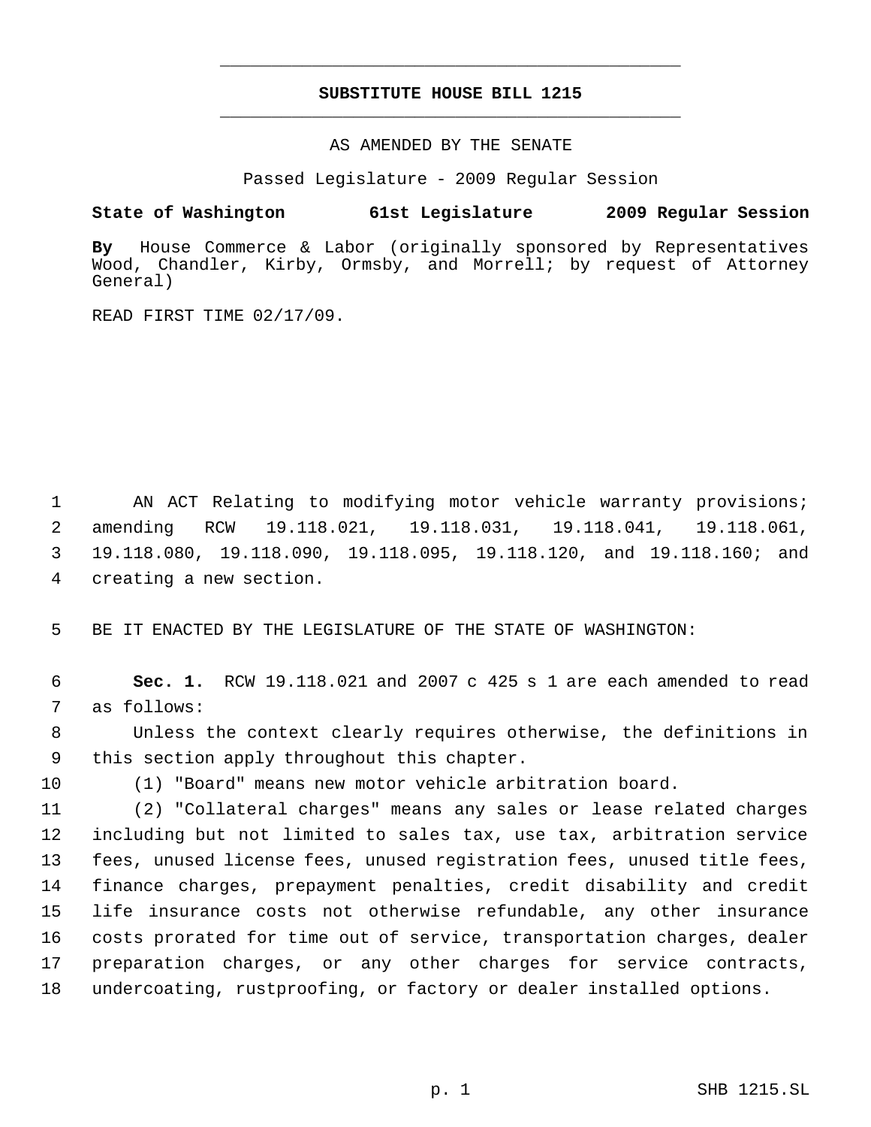# **SUBSTITUTE HOUSE BILL 1215** \_\_\_\_\_\_\_\_\_\_\_\_\_\_\_\_\_\_\_\_\_\_\_\_\_\_\_\_\_\_\_\_\_\_\_\_\_\_\_\_\_\_\_\_\_

\_\_\_\_\_\_\_\_\_\_\_\_\_\_\_\_\_\_\_\_\_\_\_\_\_\_\_\_\_\_\_\_\_\_\_\_\_\_\_\_\_\_\_\_\_

AS AMENDED BY THE SENATE

Passed Legislature - 2009 Regular Session

### **State of Washington 61st Legislature 2009 Regular Session**

**By** House Commerce & Labor (originally sponsored by Representatives Wood, Chandler, Kirby, Ormsby, and Morrell; by request of Attorney General)

READ FIRST TIME 02/17/09.

1 AN ACT Relating to modifying motor vehicle warranty provisions; amending RCW 19.118.021, 19.118.031, 19.118.041, 19.118.061, 19.118.080, 19.118.090, 19.118.095, 19.118.120, and 19.118.160; and creating a new section.

5 BE IT ENACTED BY THE LEGISLATURE OF THE STATE OF WASHINGTON:

 6 **Sec. 1.** RCW 19.118.021 and 2007 c 425 s 1 are each amended to read 7 as follows:

 8 Unless the context clearly requires otherwise, the definitions in 9 this section apply throughout this chapter.

10 (1) "Board" means new motor vehicle arbitration board.

 (2) "Collateral charges" means any sales or lease related charges including but not limited to sales tax, use tax, arbitration service fees, unused license fees, unused registration fees, unused title fees, finance charges, prepayment penalties, credit disability and credit life insurance costs not otherwise refundable, any other insurance costs prorated for time out of service, transportation charges, dealer preparation charges, or any other charges for service contracts, undercoating, rustproofing, or factory or dealer installed options.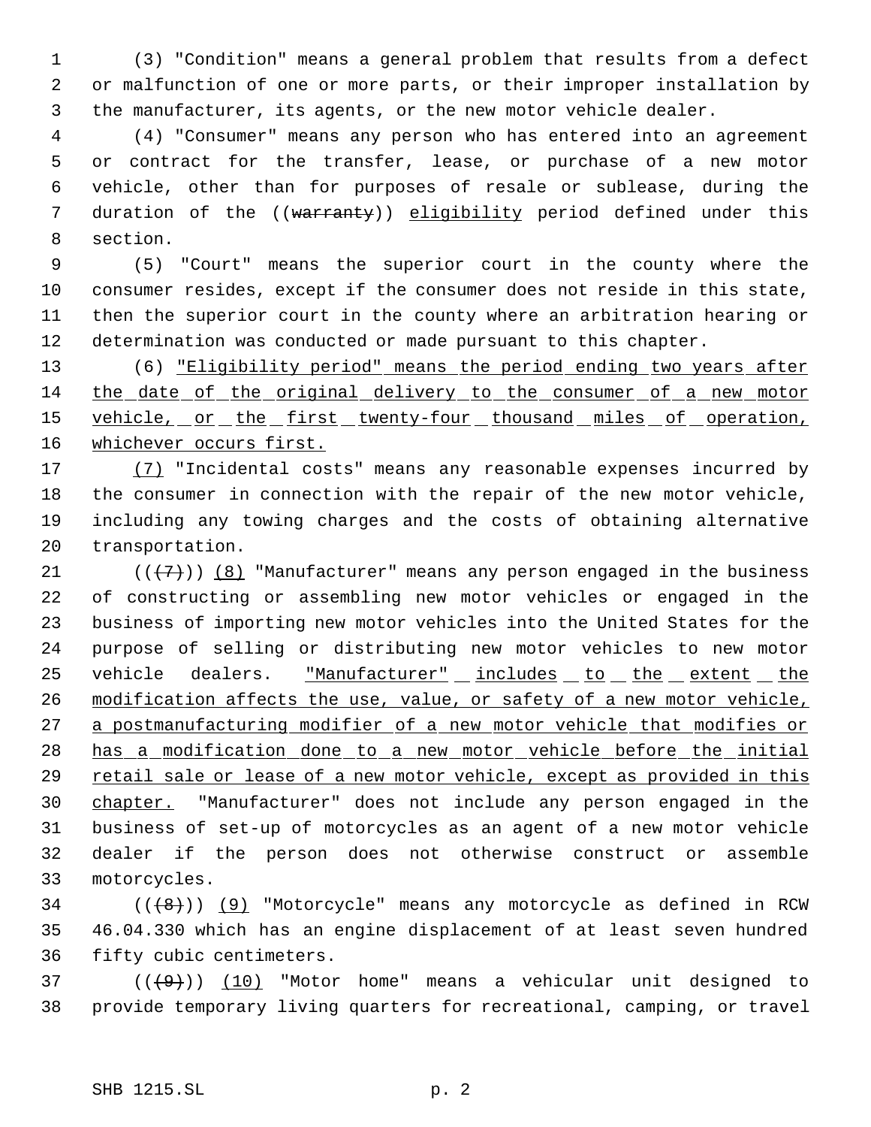(3) "Condition" means a general problem that results from a defect or malfunction of one or more parts, or their improper installation by the manufacturer, its agents, or the new motor vehicle dealer.

 (4) "Consumer" means any person who has entered into an agreement or contract for the transfer, lease, or purchase of a new motor vehicle, other than for purposes of resale or sublease, during the 7 duration of the ((warranty)) eligibility period defined under this section.

 (5) "Court" means the superior court in the county where the consumer resides, except if the consumer does not reside in this state, then the superior court in the county where an arbitration hearing or determination was conducted or made pursuant to this chapter.

 (6) "Eligibility period" means the period ending two years after 14 the date of the original delivery to the consumer of a new motor 15 vehicle, or the first twenty-four thousand miles of operation, 16 whichever occurs first.

 (7) "Incidental costs" means any reasonable expenses incurred by the consumer in connection with the repair of the new motor vehicle, including any towing charges and the costs of obtaining alternative transportation.

21 ( $(\overline{7})$ ) (8) "Manufacturer" means any person engaged in the business of constructing or assembling new motor vehicles or engaged in the business of importing new motor vehicles into the United States for the purpose of selling or distributing new motor vehicles to new motor 25 vehicle dealers. "Manufacturer" includes to the extent the modification affects the use, value, or safety of a new motor vehicle, 27 a postmanufacturing modifier of a new motor vehicle that modifies or has a modification done to a new motor vehicle before the initial 29 retail sale or lease of a new motor vehicle, except as provided in this chapter. "Manufacturer" does not include any person engaged in the business of set-up of motorcycles as an agent of a new motor vehicle dealer if the person does not otherwise construct or assemble motorcycles.

34  $((\langle 8 \rangle)(9)$  "Motorcycle" means any motorcycle as defined in RCW 46.04.330 which has an engine displacement of at least seven hundred fifty cubic centimeters.

37 ( $(\frac{49}{})$ ) (10) "Motor home" means a vehicular unit designed to provide temporary living quarters for recreational, camping, or travel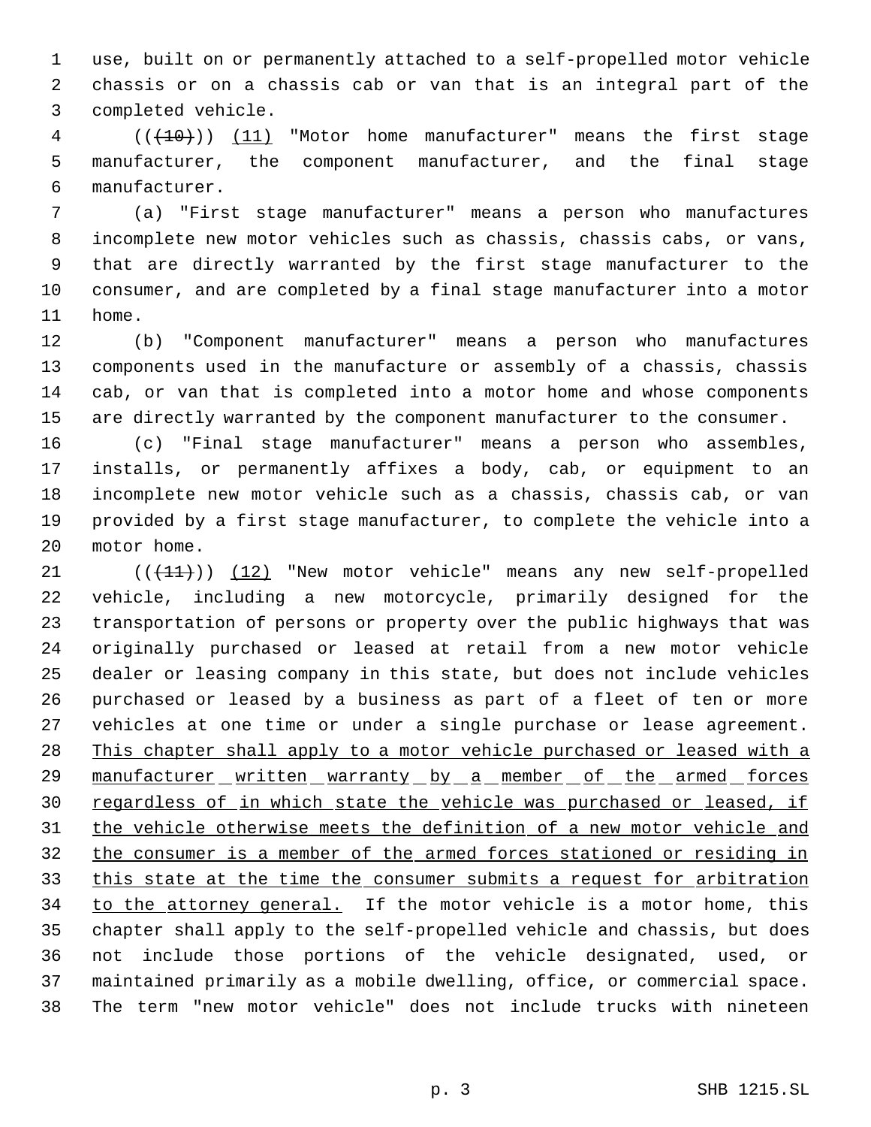use, built on or permanently attached to a self-propelled motor vehicle chassis or on a chassis cab or van that is an integral part of the completed vehicle.

 (((10))) (11) "Motor home manufacturer" means the first stage manufacturer, the component manufacturer, and the final stage manufacturer.

 (a) "First stage manufacturer" means a person who manufactures incomplete new motor vehicles such as chassis, chassis cabs, or vans, that are directly warranted by the first stage manufacturer to the consumer, and are completed by a final stage manufacturer into a motor home.

 (b) "Component manufacturer" means a person who manufactures components used in the manufacture or assembly of a chassis, chassis cab, or van that is completed into a motor home and whose components are directly warranted by the component manufacturer to the consumer.

 (c) "Final stage manufacturer" means a person who assembles, installs, or permanently affixes a body, cab, or equipment to an incomplete new motor vehicle such as a chassis, chassis cab, or van provided by a first stage manufacturer, to complete the vehicle into a motor home.

21 (( $(11)$ )) (12) "New motor vehicle" means any new self-propelled vehicle, including a new motorcycle, primarily designed for the transportation of persons or property over the public highways that was originally purchased or leased at retail from a new motor vehicle dealer or leasing company in this state, but does not include vehicles purchased or leased by a business as part of a fleet of ten or more vehicles at one time or under a single purchase or lease agreement. 28 This chapter shall apply to a motor vehicle purchased or leased with a 29 manufacturer written warranty by a member of the armed forces 30 regardless of in which state the vehicle was purchased or leased, if the vehicle otherwise meets the definition of a new motor vehicle and the consumer is a member of the armed forces stationed or residing in 33 this state at the time the consumer submits a request for arbitration 34 to the attorney general. If the motor vehicle is a motor home, this chapter shall apply to the self-propelled vehicle and chassis, but does not include those portions of the vehicle designated, used, or maintained primarily as a mobile dwelling, office, or commercial space. The term "new motor vehicle" does not include trucks with nineteen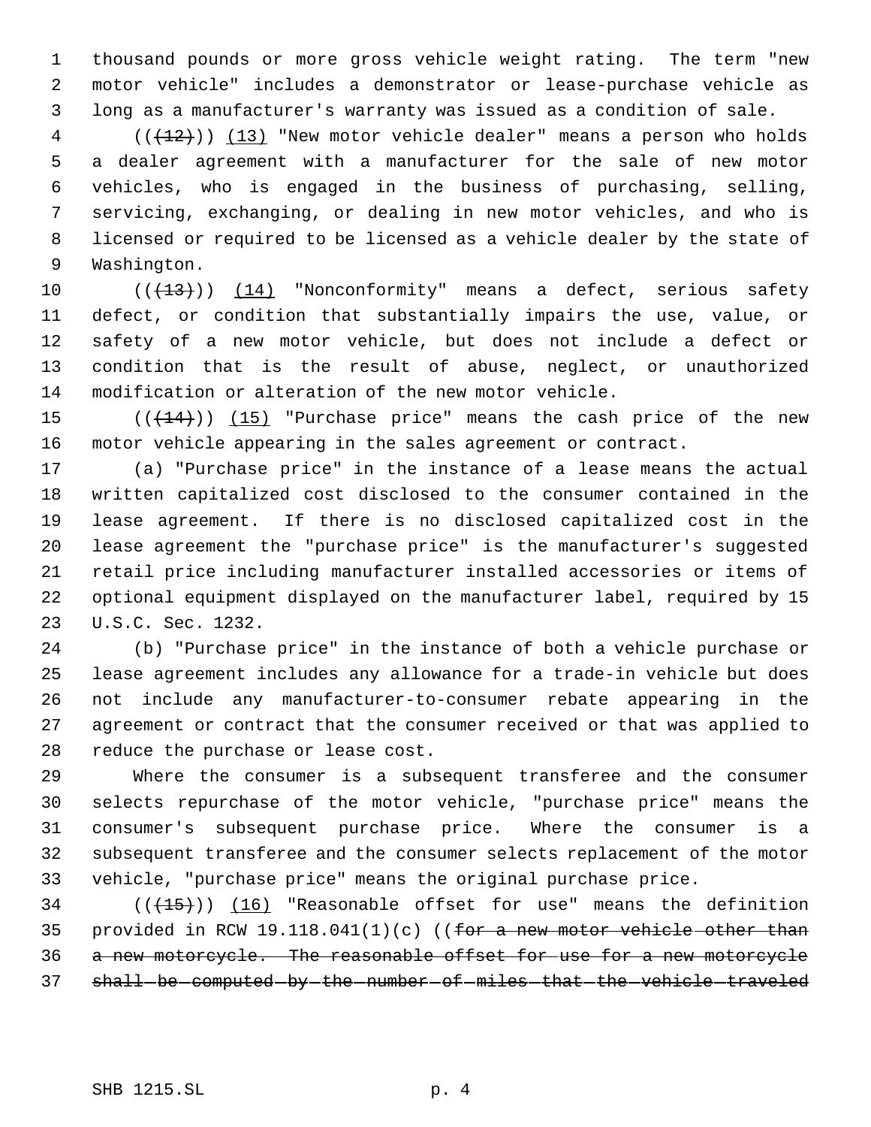thousand pounds or more gross vehicle weight rating. The term "new motor vehicle" includes a demonstrator or lease-purchase vehicle as long as a manufacturer's warranty was issued as a condition of sale.

 (( $\left(\frac{12}{12}\right)$ ) (13) "New motor vehicle dealer" means a person who holds a dealer agreement with a manufacturer for the sale of new motor vehicles, who is engaged in the business of purchasing, selling, servicing, exchanging, or dealing in new motor vehicles, and who is licensed or required to be licensed as a vehicle dealer by the state of Washington.

 $((+13))$  (14) "Nonconformity" means a defect, serious safety defect, or condition that substantially impairs the use, value, or safety of a new motor vehicle, but does not include a defect or condition that is the result of abuse, neglect, or unauthorized modification or alteration of the new motor vehicle.

15  $((+14))$   $(15)$  "Purchase price" means the cash price of the new motor vehicle appearing in the sales agreement or contract.

 (a) "Purchase price" in the instance of a lease means the actual written capitalized cost disclosed to the consumer contained in the lease agreement. If there is no disclosed capitalized cost in the lease agreement the "purchase price" is the manufacturer's suggested retail price including manufacturer installed accessories or items of optional equipment displayed on the manufacturer label, required by 15 U.S.C. Sec. 1232.

 (b) "Purchase price" in the instance of both a vehicle purchase or lease agreement includes any allowance for a trade-in vehicle but does not include any manufacturer-to-consumer rebate appearing in the agreement or contract that the consumer received or that was applied to reduce the purchase or lease cost.

 Where the consumer is a subsequent transferee and the consumer selects repurchase of the motor vehicle, "purchase price" means the consumer's subsequent purchase price. Where the consumer is a subsequent transferee and the consumer selects replacement of the motor vehicle, "purchase price" means the original purchase price.

 (( $\left(\frac{15}{15}\right)$ ) (16) "Reasonable offset for use" means the definition 35 provided in RCW 19.118.041(1)(c) ((for a new motor vehicle other than a new motorcycle. The reasonable offset for use for a new motorcycle 37 shall-be-computed-by-the-number-of-miles-that-the-vehicle-traveled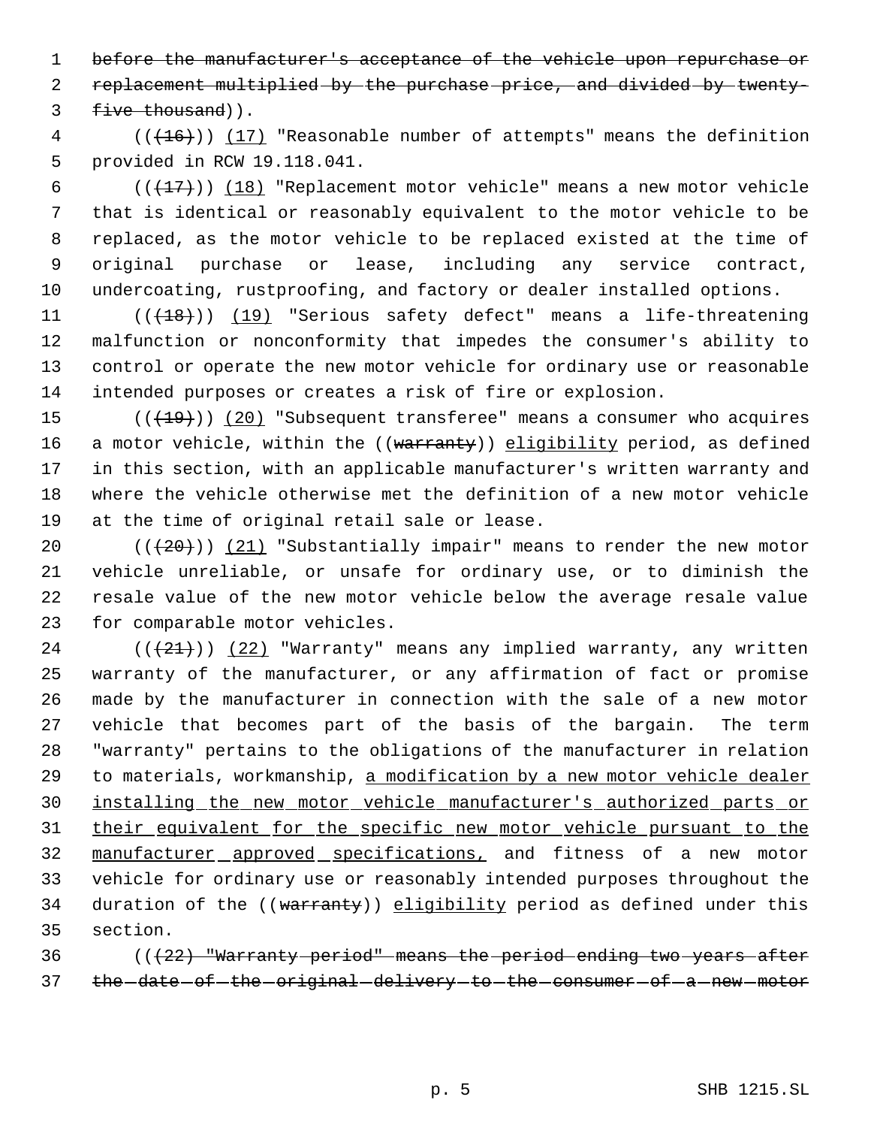1 before the manufacturer's acceptance of the vehicle upon repurchase or replacement multiplied by the purchase price, and divided by twenty- 3 five thousand)).

4 (( $(16)$ )) (17) "Reasonable number of attempts" means the definition provided in RCW 19.118.041.

 $((+17))$   $(18)$  "Replacement motor vehicle" means a new motor vehicle that is identical or reasonably equivalent to the motor vehicle to be replaced, as the motor vehicle to be replaced existed at the time of original purchase or lease, including any service contract, undercoating, rustproofing, and factory or dealer installed options.

11 (((18)) (19) "Serious safety defect" means a life-threatening malfunction or nonconformity that impedes the consumer's ability to control or operate the new motor vehicle for ordinary use or reasonable intended purposes or creates a risk of fire or explosion.

 $((+19))$   $(20)$  "Subsequent transferee" means a consumer who acquires 16 a motor vehicle, within the ((warranty)) eligibility period, as defined in this section, with an applicable manufacturer's written warranty and where the vehicle otherwise met the definition of a new motor vehicle at the time of original retail sale or lease.

 $((+20))$   $(21)$  "Substantially impair" means to render the new motor vehicle unreliable, or unsafe for ordinary use, or to diminish the resale value of the new motor vehicle below the average resale value for comparable motor vehicles.

 (( $(21)$ )) (22) "Warranty" means any implied warranty, any written warranty of the manufacturer, or any affirmation of fact or promise made by the manufacturer in connection with the sale of a new motor vehicle that becomes part of the basis of the bargain. The term "warranty" pertains to the obligations of the manufacturer in relation 29 to materials, workmanship, a modification by a new motor vehicle dealer installing the new motor vehicle manufacturer's authorized parts or their equivalent for the specific new motor vehicle pursuant to the manufacturer approved specifications, and fitness of a new motor vehicle for ordinary use or reasonably intended purposes throughout the 34 duration of the ((warranty)) eligibility period as defined under this section.

 (((22) "Warranty period" means the period ending two years after 37 the date of the original delivery to the consumer of a new motor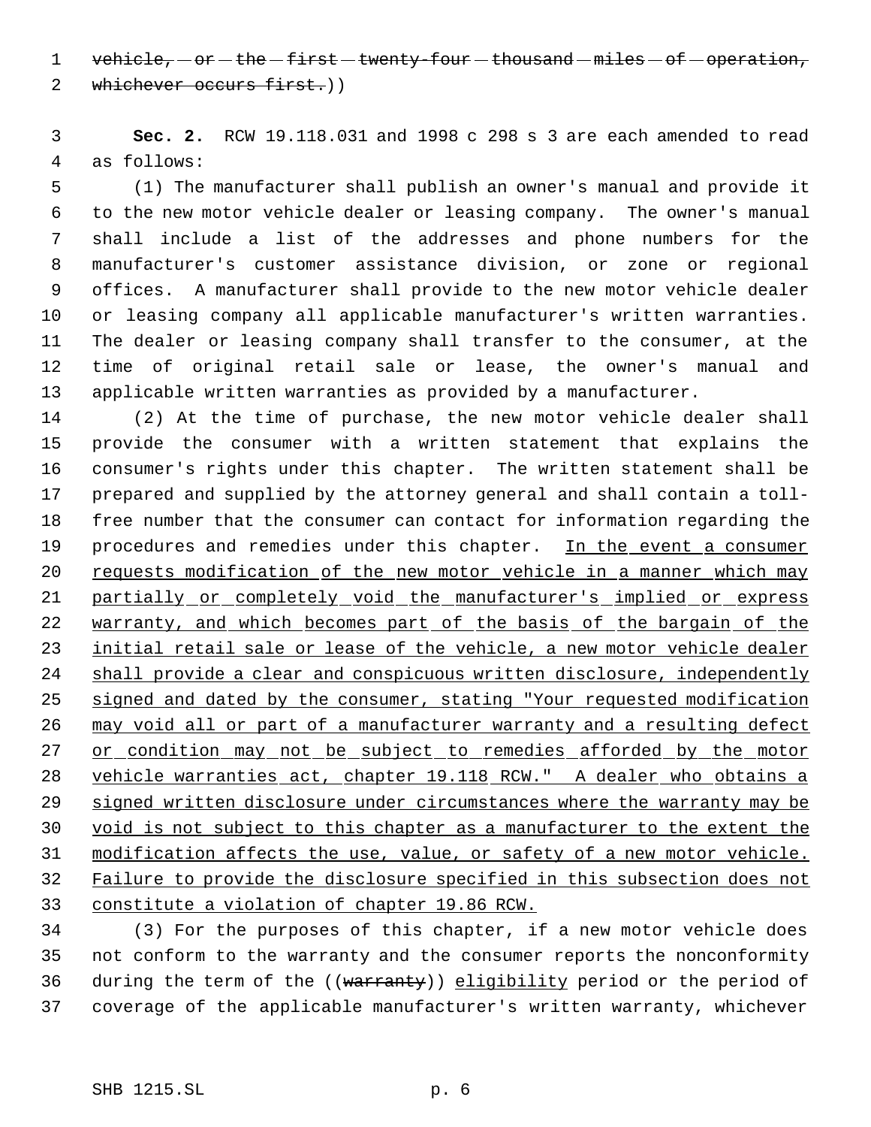1 vehicle,  $-$  or  $-$  the  $-$  first  $-$  twenty-four  $-$  thousand  $-$  miles  $-$  of  $-$  operation,

2 whichever occurs first.))

 **Sec. 2.** RCW 19.118.031 and 1998 c 298 s 3 are each amended to read as follows:

 (1) The manufacturer shall publish an owner's manual and provide it to the new motor vehicle dealer or leasing company. The owner's manual shall include a list of the addresses and phone numbers for the manufacturer's customer assistance division, or zone or regional offices. A manufacturer shall provide to the new motor vehicle dealer or leasing company all applicable manufacturer's written warranties. The dealer or leasing company shall transfer to the consumer, at the time of original retail sale or lease, the owner's manual and applicable written warranties as provided by a manufacturer.

 (2) At the time of purchase, the new motor vehicle dealer shall provide the consumer with a written statement that explains the consumer's rights under this chapter. The written statement shall be prepared and supplied by the attorney general and shall contain a toll- free number that the consumer can contact for information regarding the 19 procedures and remedies under this chapter. In the event a consumer requests modification of the new motor vehicle in a manner which may partially or completely void the manufacturer's implied or express 22 warranty, and which becomes part of the basis of the bargain of the 23 initial retail sale or lease of the vehicle, a new motor vehicle dealer shall provide a clear and conspicuous written disclosure, independently signed and dated by the consumer, stating "Your requested modification 26 may void all or part of a manufacturer warranty and a resulting defect 27 or condition may not be subject to remedies afforded by the motor vehicle warranties act, chapter 19.118 RCW." A dealer who obtains a 29 signed written disclosure under circumstances where the warranty may be void is not subject to this chapter as a manufacturer to the extent the modification affects the use, value, or safety of a new motor vehicle. Failure to provide the disclosure specified in this subsection does not constitute a violation of chapter 19.86 RCW.

 (3) For the purposes of this chapter, if a new motor vehicle does not conform to the warranty and the consumer reports the nonconformity 36 during the term of the ((warranty)) eligibility period or the period of coverage of the applicable manufacturer's written warranty, whichever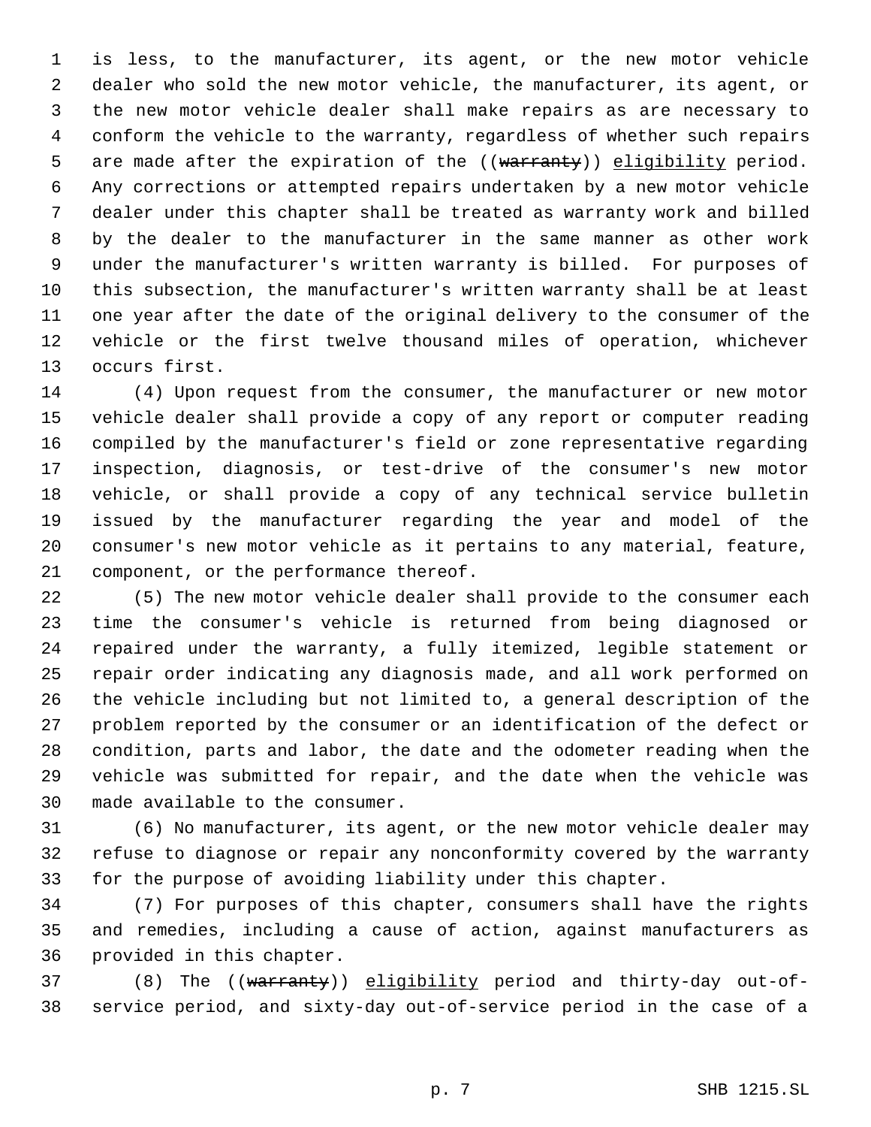is less, to the manufacturer, its agent, or the new motor vehicle dealer who sold the new motor vehicle, the manufacturer, its agent, or the new motor vehicle dealer shall make repairs as are necessary to conform the vehicle to the warranty, regardless of whether such repairs 5 are made after the expiration of the ((warranty)) eligibility period. Any corrections or attempted repairs undertaken by a new motor vehicle dealer under this chapter shall be treated as warranty work and billed by the dealer to the manufacturer in the same manner as other work under the manufacturer's written warranty is billed. For purposes of this subsection, the manufacturer's written warranty shall be at least one year after the date of the original delivery to the consumer of the vehicle or the first twelve thousand miles of operation, whichever occurs first.

 (4) Upon request from the consumer, the manufacturer or new motor vehicle dealer shall provide a copy of any report or computer reading compiled by the manufacturer's field or zone representative regarding inspection, diagnosis, or test-drive of the consumer's new motor vehicle, or shall provide a copy of any technical service bulletin issued by the manufacturer regarding the year and model of the consumer's new motor vehicle as it pertains to any material, feature, component, or the performance thereof.

 (5) The new motor vehicle dealer shall provide to the consumer each time the consumer's vehicle is returned from being diagnosed or repaired under the warranty, a fully itemized, legible statement or repair order indicating any diagnosis made, and all work performed on the vehicle including but not limited to, a general description of the problem reported by the consumer or an identification of the defect or condition, parts and labor, the date and the odometer reading when the vehicle was submitted for repair, and the date when the vehicle was made available to the consumer.

 (6) No manufacturer, its agent, or the new motor vehicle dealer may refuse to diagnose or repair any nonconformity covered by the warranty for the purpose of avoiding liability under this chapter.

 (7) For purposes of this chapter, consumers shall have the rights and remedies, including a cause of action, against manufacturers as provided in this chapter.

37 (8) The ((warranty)) eligibility period and thirty-day out-of-service period, and sixty-day out-of-service period in the case of a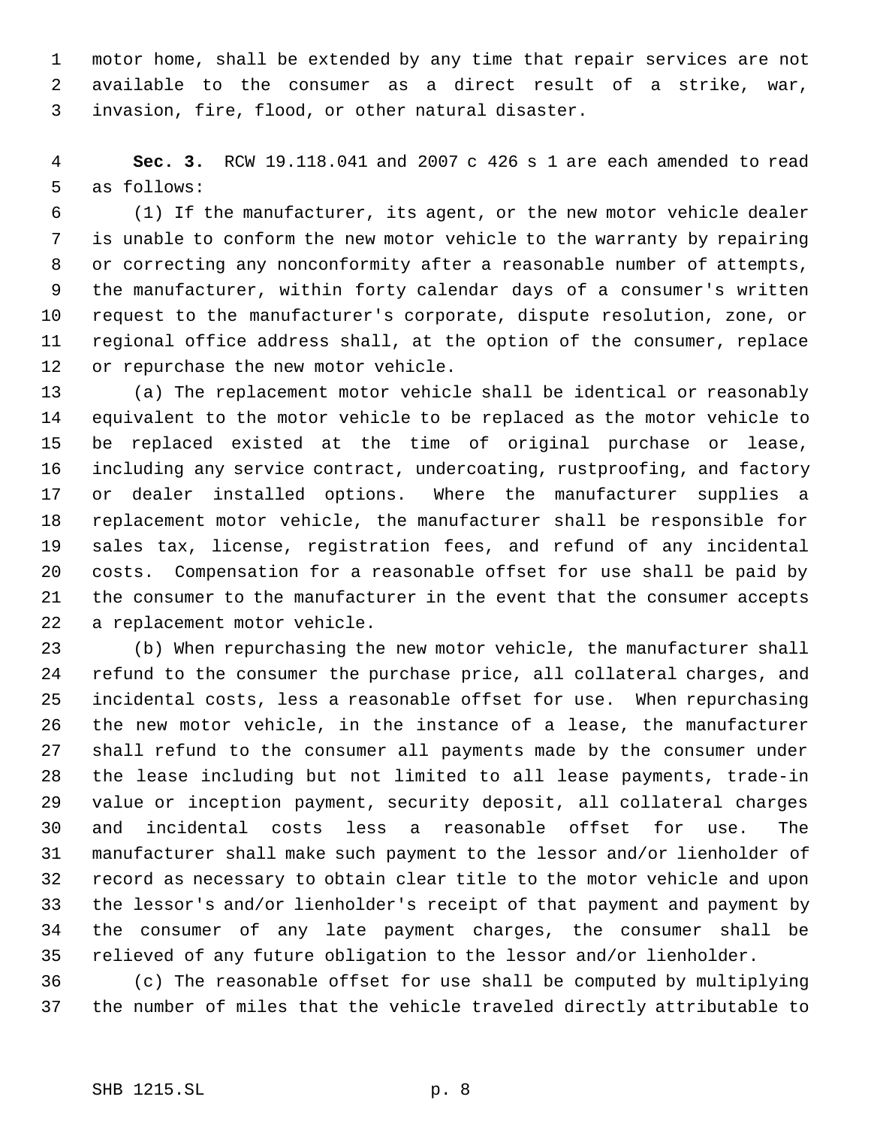motor home, shall be extended by any time that repair services are not available to the consumer as a direct result of a strike, war, invasion, fire, flood, or other natural disaster.

 **Sec. 3.** RCW 19.118.041 and 2007 c 426 s 1 are each amended to read as follows:

 (1) If the manufacturer, its agent, or the new motor vehicle dealer is unable to conform the new motor vehicle to the warranty by repairing or correcting any nonconformity after a reasonable number of attempts, the manufacturer, within forty calendar days of a consumer's written request to the manufacturer's corporate, dispute resolution, zone, or regional office address shall, at the option of the consumer, replace or repurchase the new motor vehicle.

 (a) The replacement motor vehicle shall be identical or reasonably equivalent to the motor vehicle to be replaced as the motor vehicle to be replaced existed at the time of original purchase or lease, including any service contract, undercoating, rustproofing, and factory or dealer installed options. Where the manufacturer supplies a replacement motor vehicle, the manufacturer shall be responsible for sales tax, license, registration fees, and refund of any incidental costs. Compensation for a reasonable offset for use shall be paid by the consumer to the manufacturer in the event that the consumer accepts a replacement motor vehicle.

 (b) When repurchasing the new motor vehicle, the manufacturer shall refund to the consumer the purchase price, all collateral charges, and incidental costs, less a reasonable offset for use. When repurchasing the new motor vehicle, in the instance of a lease, the manufacturer shall refund to the consumer all payments made by the consumer under the lease including but not limited to all lease payments, trade-in value or inception payment, security deposit, all collateral charges and incidental costs less a reasonable offset for use. The manufacturer shall make such payment to the lessor and/or lienholder of record as necessary to obtain clear title to the motor vehicle and upon the lessor's and/or lienholder's receipt of that payment and payment by the consumer of any late payment charges, the consumer shall be relieved of any future obligation to the lessor and/or lienholder.

 (c) The reasonable offset for use shall be computed by multiplying the number of miles that the vehicle traveled directly attributable to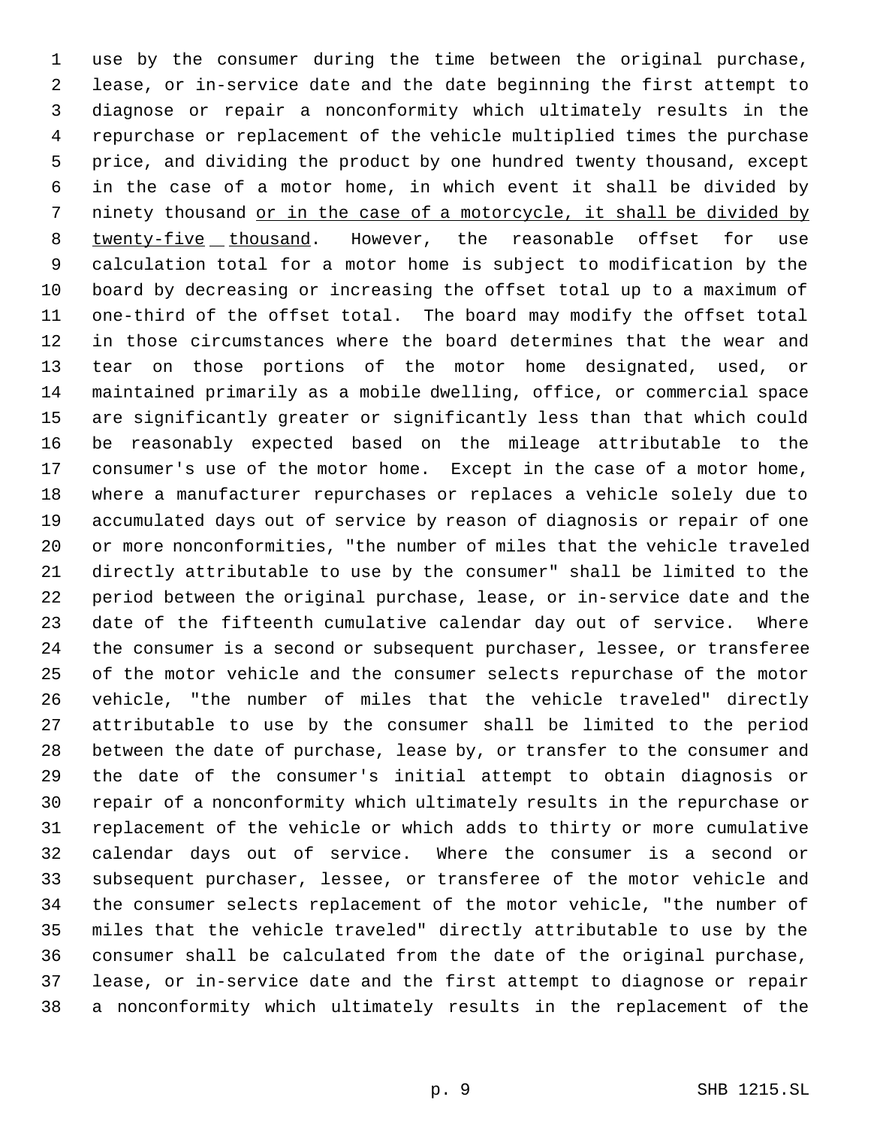use by the consumer during the time between the original purchase, lease, or in-service date and the date beginning the first attempt to diagnose or repair a nonconformity which ultimately results in the repurchase or replacement of the vehicle multiplied times the purchase price, and dividing the product by one hundred twenty thousand, except in the case of a motor home, in which event it shall be divided by ninety thousand or in the case of a motorcycle, it shall be divided by twenty-five thousand. However, the reasonable offset for use calculation total for a motor home is subject to modification by the board by decreasing or increasing the offset total up to a maximum of one-third of the offset total. The board may modify the offset total in those circumstances where the board determines that the wear and tear on those portions of the motor home designated, used, or maintained primarily as a mobile dwelling, office, or commercial space are significantly greater or significantly less than that which could be reasonably expected based on the mileage attributable to the consumer's use of the motor home. Except in the case of a motor home, where a manufacturer repurchases or replaces a vehicle solely due to accumulated days out of service by reason of diagnosis or repair of one or more nonconformities, "the number of miles that the vehicle traveled directly attributable to use by the consumer" shall be limited to the period between the original purchase, lease, or in-service date and the date of the fifteenth cumulative calendar day out of service. Where the consumer is a second or subsequent purchaser, lessee, or transferee of the motor vehicle and the consumer selects repurchase of the motor vehicle, "the number of miles that the vehicle traveled" directly attributable to use by the consumer shall be limited to the period between the date of purchase, lease by, or transfer to the consumer and the date of the consumer's initial attempt to obtain diagnosis or repair of a nonconformity which ultimately results in the repurchase or replacement of the vehicle or which adds to thirty or more cumulative calendar days out of service. Where the consumer is a second or subsequent purchaser, lessee, or transferee of the motor vehicle and the consumer selects replacement of the motor vehicle, "the number of miles that the vehicle traveled" directly attributable to use by the consumer shall be calculated from the date of the original purchase, lease, or in-service date and the first attempt to diagnose or repair a nonconformity which ultimately results in the replacement of the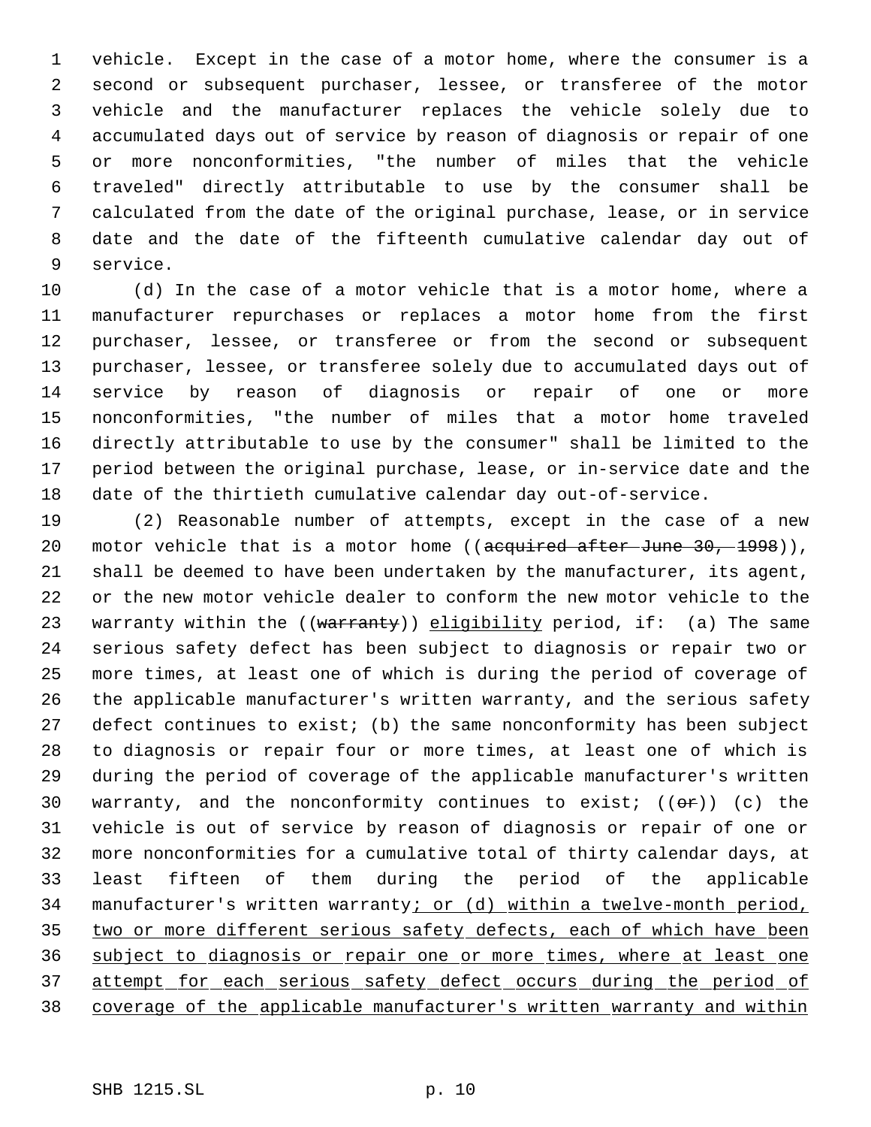vehicle. Except in the case of a motor home, where the consumer is a second or subsequent purchaser, lessee, or transferee of the motor vehicle and the manufacturer replaces the vehicle solely due to accumulated days out of service by reason of diagnosis or repair of one or more nonconformities, "the number of miles that the vehicle traveled" directly attributable to use by the consumer shall be calculated from the date of the original purchase, lease, or in service date and the date of the fifteenth cumulative calendar day out of service.

 (d) In the case of a motor vehicle that is a motor home, where a manufacturer repurchases or replaces a motor home from the first purchaser, lessee, or transferee or from the second or subsequent purchaser, lessee, or transferee solely due to accumulated days out of service by reason of diagnosis or repair of one or more nonconformities, "the number of miles that a motor home traveled directly attributable to use by the consumer" shall be limited to the period between the original purchase, lease, or in-service date and the date of the thirtieth cumulative calendar day out-of-service.

 (2) Reasonable number of attempts, except in the case of a new 20 motor vehicle that is a motor home ((acquired after June 30, 1998)), shall be deemed to have been undertaken by the manufacturer, its agent, or the new motor vehicle dealer to conform the new motor vehicle to the 23 warranty within the  $((\text{warmty}))$  eligibility period, if: (a) The same serious safety defect has been subject to diagnosis or repair two or more times, at least one of which is during the period of coverage of the applicable manufacturer's written warranty, and the serious safety defect continues to exist; (b) the same nonconformity has been subject to diagnosis or repair four or more times, at least one of which is during the period of coverage of the applicable manufacturer's written 30 warranty, and the nonconformity continues to exist;  $((\theta \cdot \hat{r}))$  (c) the vehicle is out of service by reason of diagnosis or repair of one or more nonconformities for a cumulative total of thirty calendar days, at least fifteen of them during the period of the applicable 34 manufacturer's written warranty; or (d) within a twelve-month period, 35 two or more different serious safety defects, each of which have been subject to diagnosis or repair one or more times, where at least one 37 attempt for each serious safety defect occurs during the period of coverage of the applicable manufacturer's written warranty and within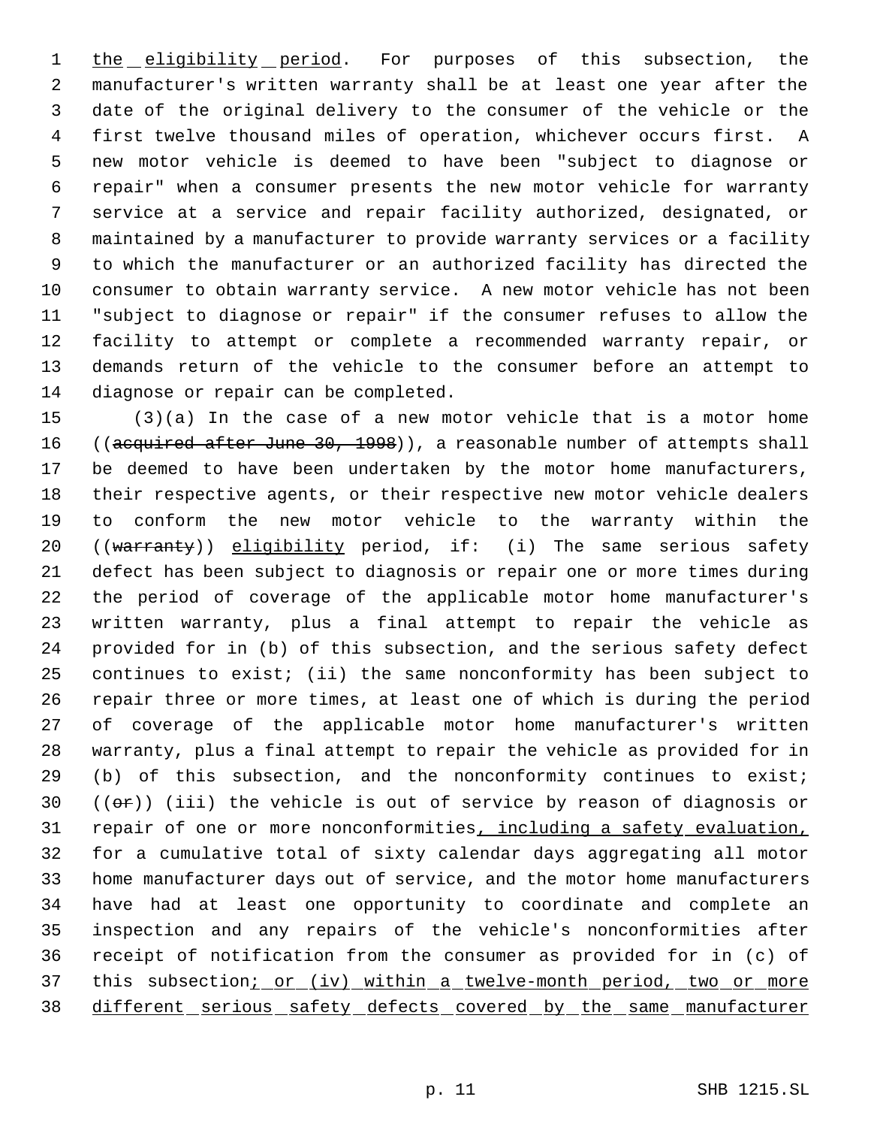1 the eligibility period. For purposes of this subsection, the manufacturer's written warranty shall be at least one year after the date of the original delivery to the consumer of the vehicle or the first twelve thousand miles of operation, whichever occurs first. A new motor vehicle is deemed to have been "subject to diagnose or repair" when a consumer presents the new motor vehicle for warranty service at a service and repair facility authorized, designated, or maintained by a manufacturer to provide warranty services or a facility to which the manufacturer or an authorized facility has directed the consumer to obtain warranty service. A new motor vehicle has not been "subject to diagnose or repair" if the consumer refuses to allow the facility to attempt or complete a recommended warranty repair, or demands return of the vehicle to the consumer before an attempt to diagnose or repair can be completed.

 (3)(a) In the case of a new motor vehicle that is a motor home 16 ((acquired after June 30, 1998)), a reasonable number of attempts shall be deemed to have been undertaken by the motor home manufacturers, their respective agents, or their respective new motor vehicle dealers to conform the new motor vehicle to the warranty within the 20 ((warranty)) eligibility period, if: (i) The same serious safety defect has been subject to diagnosis or repair one or more times during the period of coverage of the applicable motor home manufacturer's written warranty, plus a final attempt to repair the vehicle as provided for in (b) of this subsection, and the serious safety defect continues to exist; (ii) the same nonconformity has been subject to repair three or more times, at least one of which is during the period of coverage of the applicable motor home manufacturer's written warranty, plus a final attempt to repair the vehicle as provided for in (b) of this subsection, and the nonconformity continues to exist;  $((\theta \cdot \hat{r}))$  (iii) the vehicle is out of service by reason of diagnosis or 31 repair of one or more nonconformities, including a safety evaluation, for a cumulative total of sixty calendar days aggregating all motor home manufacturer days out of service, and the motor home manufacturers have had at least one opportunity to coordinate and complete an inspection and any repairs of the vehicle's nonconformities after receipt of notification from the consumer as provided for in (c) of 37 this subsection<u>; or (iv) within a twelve-month period, two or more</u> 38 different serious safety defects covered by the same manufacturer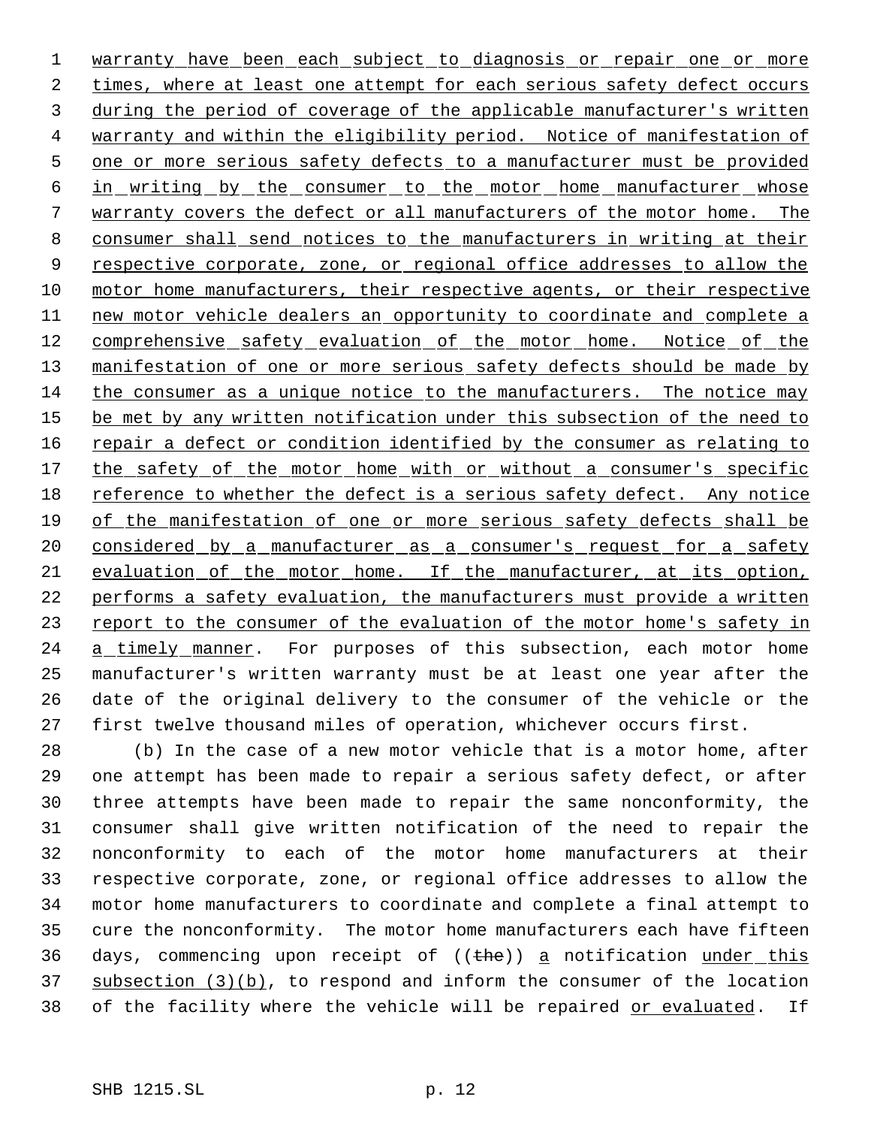1 warranty have been each subject to diagnosis or repair one or more 2 times, where at least one attempt for each serious safety defect occurs 3 during the period of coverage of the applicable manufacturer's written 4 warranty and within the eligibility period. Notice of manifestation of 5 one or more serious safety defects to a manufacturer must be provided 6 in writing by the consumer to the motor home manufacturer whose 7 warranty covers the defect or all manufacturers of the motor home. The 8 consumer shall send notices to the manufacturers in writing at their 9 respective corporate, zone, or regional office addresses to allow the 10 motor home manufacturers, their respective agents, or their respective 11 new motor vehicle dealers an opportunity to coordinate and complete a 12 comprehensive safety evaluation of the motor home. Notice of the 13 manifestation of one or more serious safety defects should be made by 14 the consumer as a unique notice to the manufacturers. The notice may 15 be met by any written notification under this subsection of the need to 16 repair a defect or condition identified by the consumer as relating to 17 the safety of the motor home with or without a consumer's specific 18 reference to whether the defect is a serious safety defect. Any notice 19 of the manifestation of one or more serious safety defects shall be 20 considered by a manufacturer as a consumer's request for a safety 21 evaluation of the motor home. If the manufacturer, at its option, 22 performs a safety evaluation, the manufacturers must provide a written 23 report to the consumer of the evaluation of the motor home's safety in 24 a timely manner. For purposes of this subsection, each motor home 25 manufacturer's written warranty must be at least one year after the 26 date of the original delivery to the consumer of the vehicle or the 27 first twelve thousand miles of operation, whichever occurs first.

 (b) In the case of a new motor vehicle that is a motor home, after one attempt has been made to repair a serious safety defect, or after three attempts have been made to repair the same nonconformity, the consumer shall give written notification of the need to repair the nonconformity to each of the motor home manufacturers at their respective corporate, zone, or regional office addresses to allow the motor home manufacturers to coordinate and complete a final attempt to cure the nonconformity. The motor home manufacturers each have fifteen 36 days, commencing upon receipt of  $((thee))$  a notification under this 37 subsection  $(3)(b)$ , to respond and inform the consumer of the location 38 of the facility where the vehicle will be repaired or evaluated. If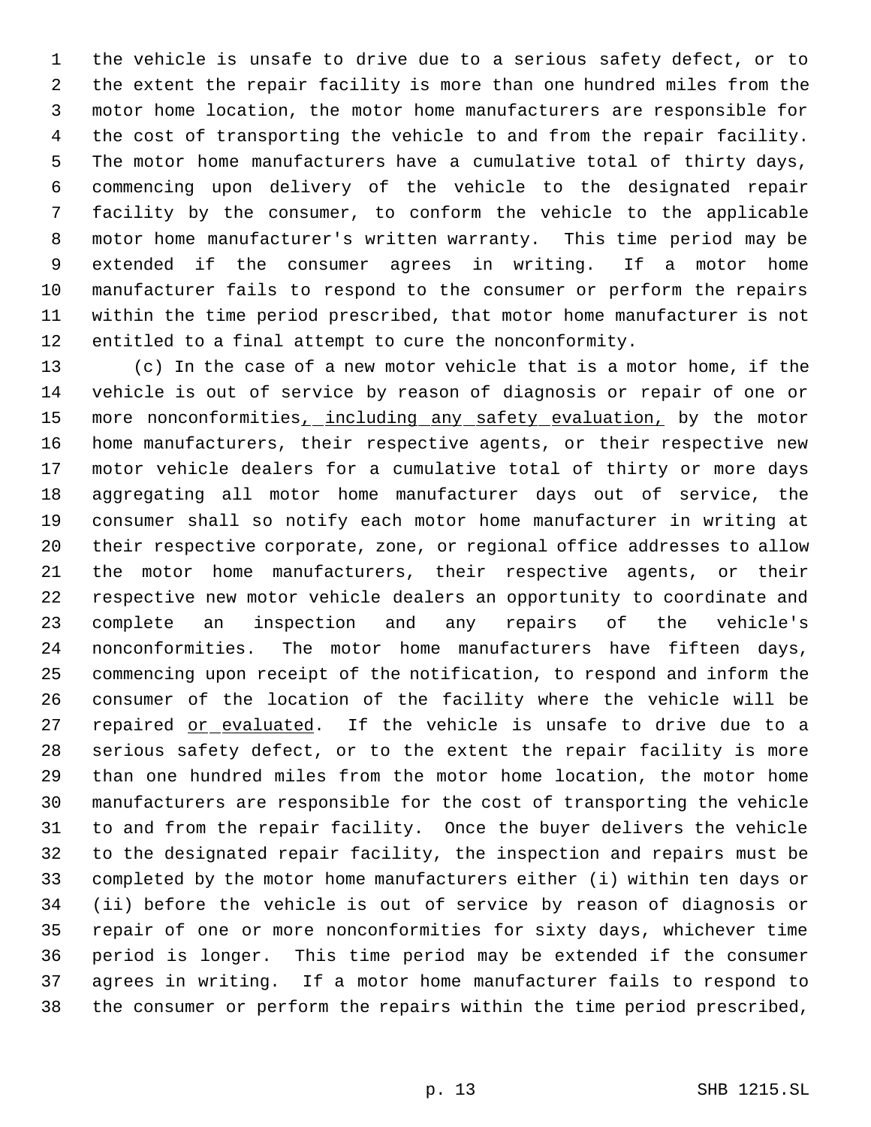the vehicle is unsafe to drive due to a serious safety defect, or to the extent the repair facility is more than one hundred miles from the motor home location, the motor home manufacturers are responsible for the cost of transporting the vehicle to and from the repair facility. The motor home manufacturers have a cumulative total of thirty days, commencing upon delivery of the vehicle to the designated repair facility by the consumer, to conform the vehicle to the applicable motor home manufacturer's written warranty. This time period may be extended if the consumer agrees in writing. If a motor home manufacturer fails to respond to the consumer or perform the repairs within the time period prescribed, that motor home manufacturer is not entitled to a final attempt to cure the nonconformity.

 (c) In the case of a new motor vehicle that is a motor home, if the vehicle is out of service by reason of diagnosis or repair of one or 15 more nonconformities<sub>1</sub> including any safety evaluation, by the motor home manufacturers, their respective agents, or their respective new motor vehicle dealers for a cumulative total of thirty or more days aggregating all motor home manufacturer days out of service, the consumer shall so notify each motor home manufacturer in writing at their respective corporate, zone, or regional office addresses to allow the motor home manufacturers, their respective agents, or their respective new motor vehicle dealers an opportunity to coordinate and complete an inspection and any repairs of the vehicle's nonconformities. The motor home manufacturers have fifteen days, commencing upon receipt of the notification, to respond and inform the consumer of the location of the facility where the vehicle will be 27 repaired or evaluated. If the vehicle is unsafe to drive due to a serious safety defect, or to the extent the repair facility is more than one hundred miles from the motor home location, the motor home manufacturers are responsible for the cost of transporting the vehicle to and from the repair facility. Once the buyer delivers the vehicle to the designated repair facility, the inspection and repairs must be completed by the motor home manufacturers either (i) within ten days or (ii) before the vehicle is out of service by reason of diagnosis or repair of one or more nonconformities for sixty days, whichever time period is longer. This time period may be extended if the consumer agrees in writing. If a motor home manufacturer fails to respond to the consumer or perform the repairs within the time period prescribed,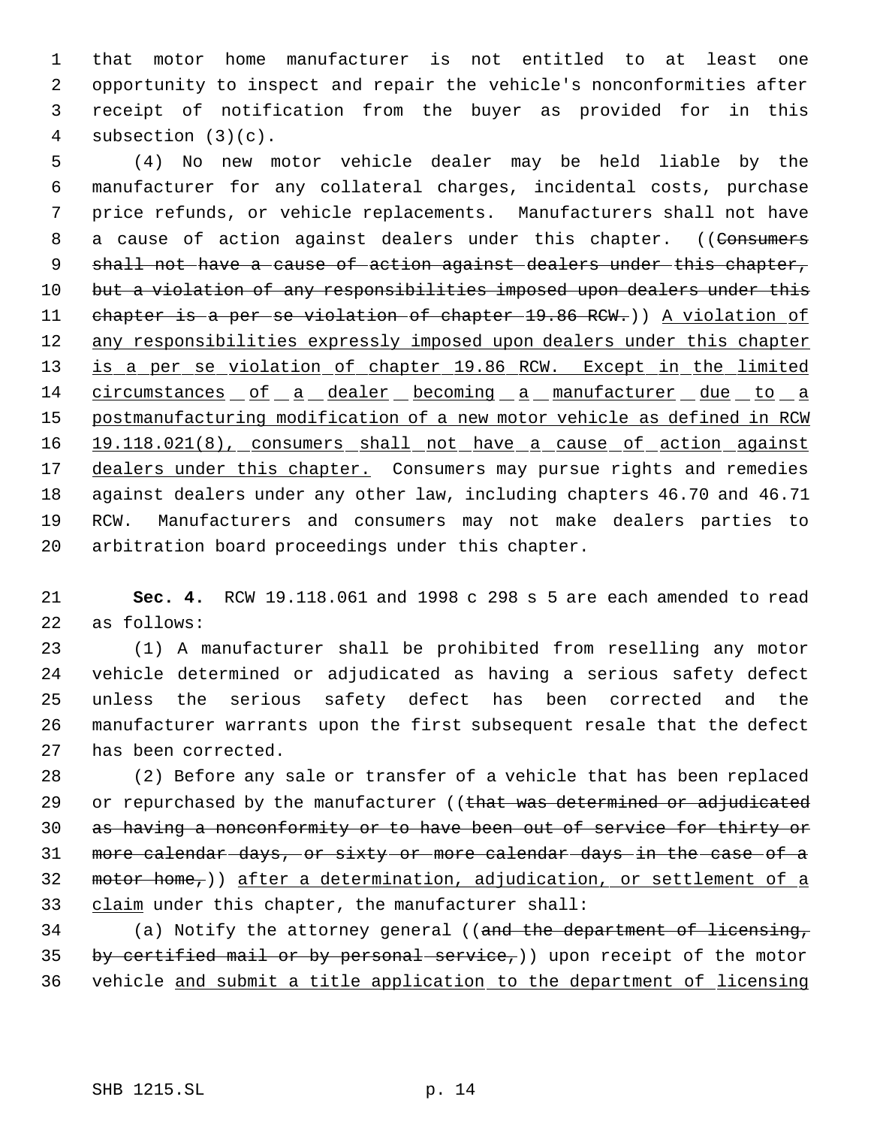that motor home manufacturer is not entitled to at least one opportunity to inspect and repair the vehicle's nonconformities after receipt of notification from the buyer as provided for in this subsection (3)(c).

 5 (4) No new motor vehicle dealer may be held liable by the 6 manufacturer for any collateral charges, incidental costs, purchase 7 price refunds, or vehicle replacements. Manufacturers shall not have 8 a cause of action against dealers under this chapter. ((Consumers 9 shall not have a cause of action against dealers under this chapter, 10 but a violation of any responsibilities imposed upon dealers under this 11 chapter is a per se violation of chapter 19.86 RCW.)) A violation of 12 any responsibilities expressly imposed upon dealers under this chapter 13 is a per se violation of chapter 19.86 RCW. Except in the limited 14 circumstances of a dealer becoming a manufacturer due to a 15 postmanufacturing modification of a new motor vehicle as defined in RCW 16 19.118.021(8), consumers shall not have a cause of action against 17 dealers under this chapter. Consumers may pursue rights and remedies 18 against dealers under any other law, including chapters 46.70 and 46.71 19 RCW. Manufacturers and consumers may not make dealers parties to 20 arbitration board proceedings under this chapter.

21 **Sec. 4.** RCW 19.118.061 and 1998 c 298 s 5 are each amended to read 22 as follows:

 (1) A manufacturer shall be prohibited from reselling any motor vehicle determined or adjudicated as having a serious safety defect unless the serious safety defect has been corrected and the manufacturer warrants upon the first subsequent resale that the defect has been corrected.

28 (2) Before any sale or transfer of a vehicle that has been replaced 29 or repurchased by the manufacturer ((that was determined or adjudicated 30 as having a nonconformity or to have been out of service for thirty or 31 more calendar days, or sixty or more calendar days in the case of a 32 motor home, ) after a determination, adjudication, or settlement of a 33 claim under this chapter, the manufacturer shall:

34 (a) Notify the attorney general ((and the department of licensing, 35 by certified mail or by personal service,)) upon receipt of the motor 36 vehicle and submit a title application to the department of licensing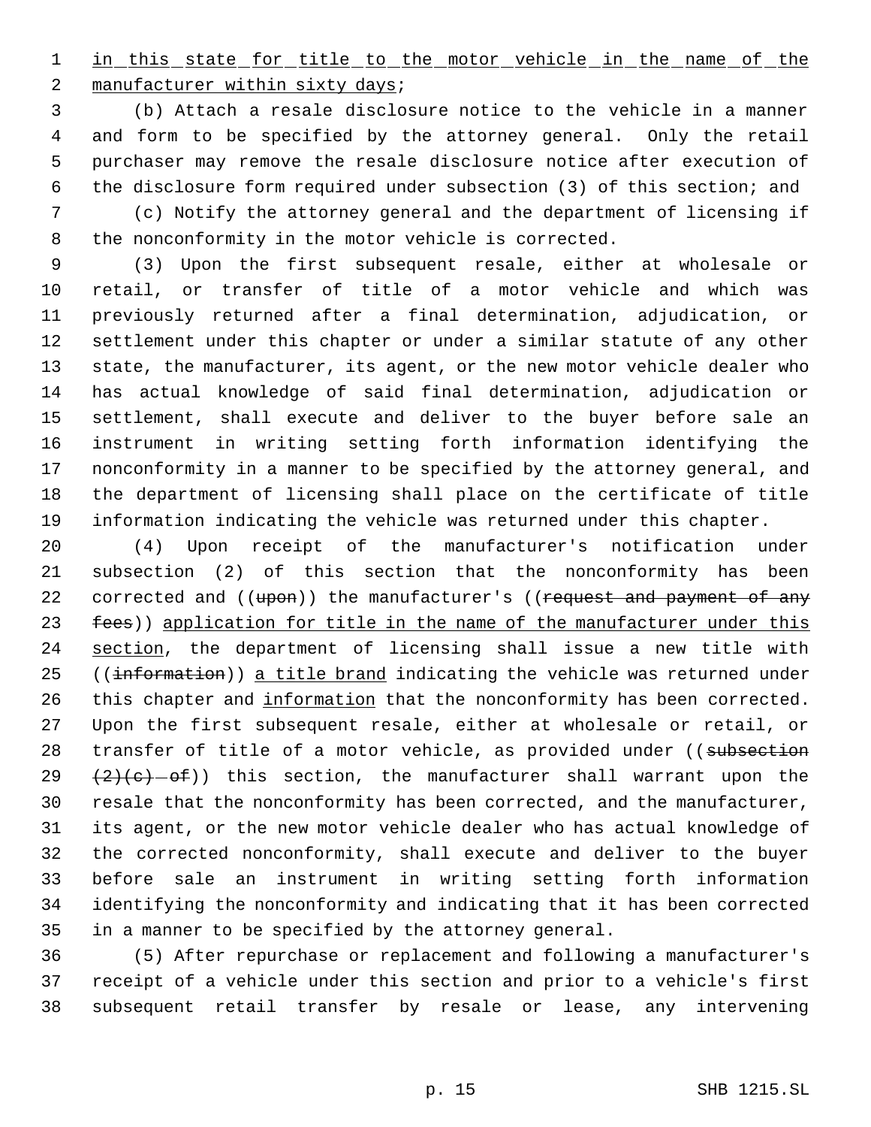1 in this state for title to the motor vehicle in the name of the 2 manufacturer within sixty days;

 (b) Attach a resale disclosure notice to the vehicle in a manner and form to be specified by the attorney general. Only the retail purchaser may remove the resale disclosure notice after execution of the disclosure form required under subsection (3) of this section; and

 (c) Notify the attorney general and the department of licensing if the nonconformity in the motor vehicle is corrected.

 (3) Upon the first subsequent resale, either at wholesale or retail, or transfer of title of a motor vehicle and which was previously returned after a final determination, adjudication, or settlement under this chapter or under a similar statute of any other state, the manufacturer, its agent, or the new motor vehicle dealer who has actual knowledge of said final determination, adjudication or settlement, shall execute and deliver to the buyer before sale an instrument in writing setting forth information identifying the nonconformity in a manner to be specified by the attorney general, and the department of licensing shall place on the certificate of title information indicating the vehicle was returned under this chapter.

 (4) Upon receipt of the manufacturer's notification under subsection (2) of this section that the nonconformity has been 22 corrected and ((upon)) the manufacturer's ((request and payment of any 23 fees)) application for title in the name of the manufacturer under this 24 section, the department of licensing shall issue a new title with 25 ((information)) a title brand indicating the vehicle was returned under 26 this chapter and information that the nonconformity has been corrected. Upon the first subsequent resale, either at wholesale or retail, or 28 transfer of title of a motor vehicle, as provided under ((subsection  $(2)(e)-ef)$  this section, the manufacturer shall warrant upon the resale that the nonconformity has been corrected, and the manufacturer, its agent, or the new motor vehicle dealer who has actual knowledge of the corrected nonconformity, shall execute and deliver to the buyer before sale an instrument in writing setting forth information identifying the nonconformity and indicating that it has been corrected in a manner to be specified by the attorney general.

 (5) After repurchase or replacement and following a manufacturer's receipt of a vehicle under this section and prior to a vehicle's first subsequent retail transfer by resale or lease, any intervening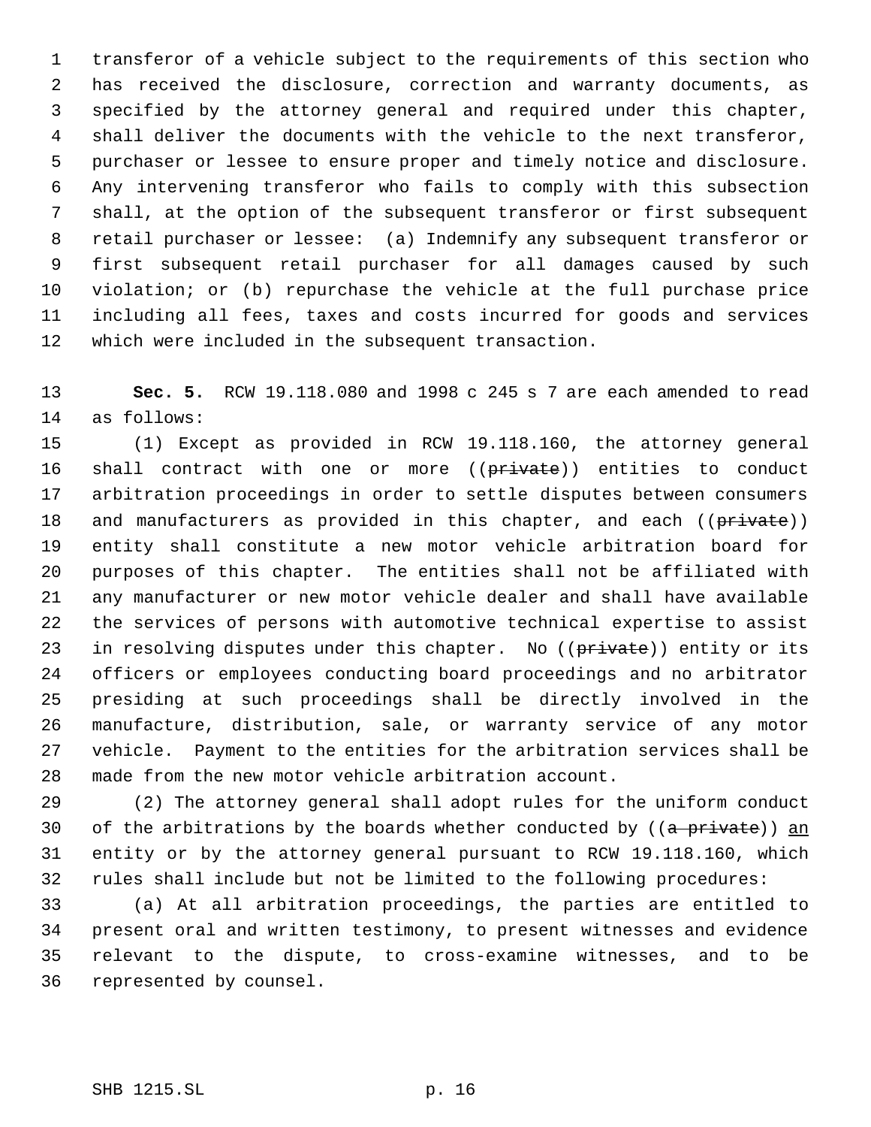transferor of a vehicle subject to the requirements of this section who has received the disclosure, correction and warranty documents, as specified by the attorney general and required under this chapter, shall deliver the documents with the vehicle to the next transferor, purchaser or lessee to ensure proper and timely notice and disclosure. Any intervening transferor who fails to comply with this subsection shall, at the option of the subsequent transferor or first subsequent retail purchaser or lessee: (a) Indemnify any subsequent transferor or first subsequent retail purchaser for all damages caused by such violation; or (b) repurchase the vehicle at the full purchase price including all fees, taxes and costs incurred for goods and services which were included in the subsequent transaction.

 **Sec. 5.** RCW 19.118.080 and 1998 c 245 s 7 are each amended to read as follows:

 (1) Except as provided in RCW 19.118.160, the attorney general 16 shall contract with one or more ((private)) entities to conduct arbitration proceedings in order to settle disputes between consumers 18 and manufacturers as provided in this chapter, and each ((private)) entity shall constitute a new motor vehicle arbitration board for purposes of this chapter. The entities shall not be affiliated with any manufacturer or new motor vehicle dealer and shall have available the services of persons with automotive technical expertise to assist 23 in resolving disputes under this chapter. No ((private)) entity or its officers or employees conducting board proceedings and no arbitrator presiding at such proceedings shall be directly involved in the manufacture, distribution, sale, or warranty service of any motor vehicle. Payment to the entities for the arbitration services shall be made from the new motor vehicle arbitration account.

 (2) The attorney general shall adopt rules for the uniform conduct 30 of the arbitrations by the boards whether conducted by  $((a \nleftrightarrow b))$  an entity or by the attorney general pursuant to RCW 19.118.160, which rules shall include but not be limited to the following procedures:

 (a) At all arbitration proceedings, the parties are entitled to present oral and written testimony, to present witnesses and evidence relevant to the dispute, to cross-examine witnesses, and to be represented by counsel.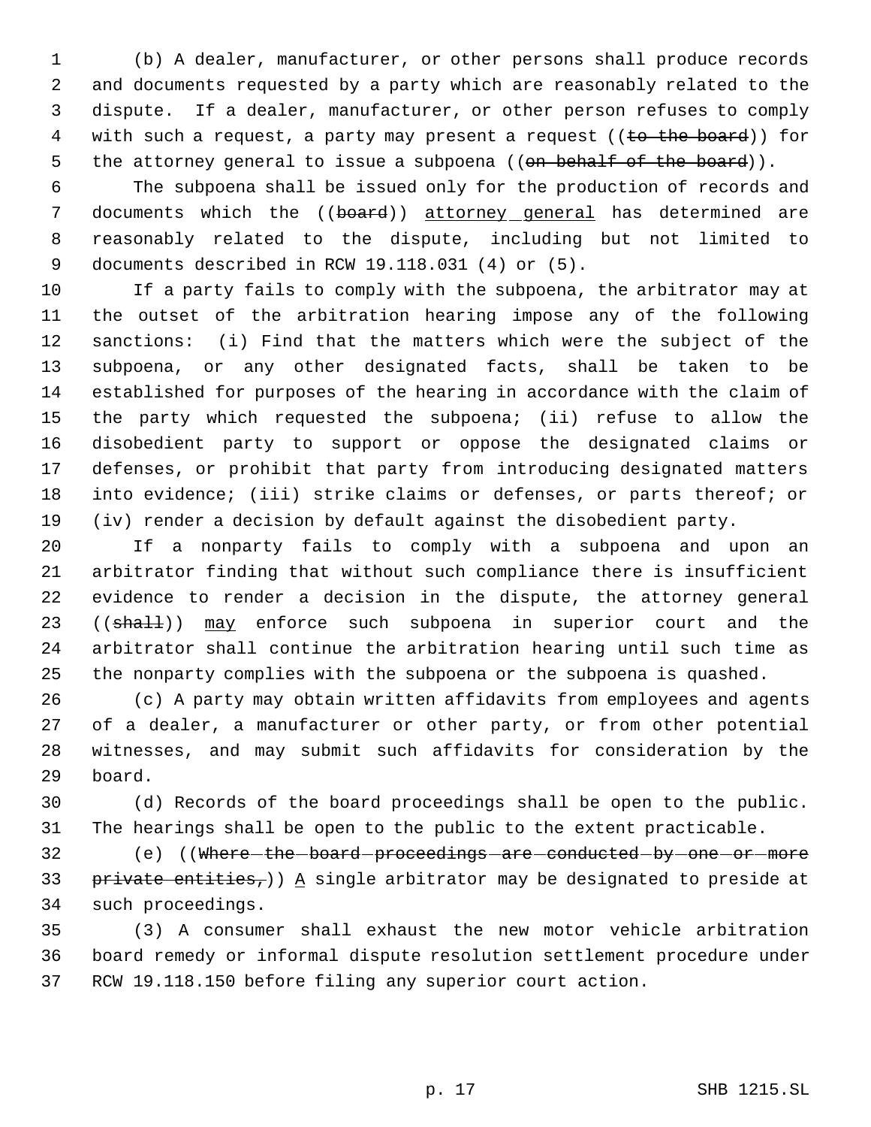(b) A dealer, manufacturer, or other persons shall produce records and documents requested by a party which are reasonably related to the dispute. If a dealer, manufacturer, or other person refuses to comply 4 with such a request, a party may present a request ((to the board)) for 5 the attorney general to issue a subpoena ((on behalf of the board)).

 The subpoena shall be issued only for the production of records and 7 documents which the ((board)) attorney general has determined are reasonably related to the dispute, including but not limited to documents described in RCW 19.118.031 (4) or (5).

 If a party fails to comply with the subpoena, the arbitrator may at the outset of the arbitration hearing impose any of the following sanctions: (i) Find that the matters which were the subject of the subpoena, or any other designated facts, shall be taken to be established for purposes of the hearing in accordance with the claim of the party which requested the subpoena; (ii) refuse to allow the disobedient party to support or oppose the designated claims or defenses, or prohibit that party from introducing designated matters into evidence; (iii) strike claims or defenses, or parts thereof; or (iv) render a decision by default against the disobedient party.

 If a nonparty fails to comply with a subpoena and upon an arbitrator finding that without such compliance there is insufficient evidence to render a decision in the dispute, the attorney general 23 ((shall)) may enforce such subpoena in superior court and the arbitrator shall continue the arbitration hearing until such time as the nonparty complies with the subpoena or the subpoena is quashed.

 (c) A party may obtain written affidavits from employees and agents of a dealer, a manufacturer or other party, or from other potential witnesses, and may submit such affidavits for consideration by the board.

 (d) Records of the board proceedings shall be open to the public. The hearings shall be open to the public to the extent practicable.

32 (e) ((Where the board proceedings are conducted by one or more 33 private entities,)) A single arbitrator may be designated to preside at such proceedings.

 (3) A consumer shall exhaust the new motor vehicle arbitration board remedy or informal dispute resolution settlement procedure under RCW 19.118.150 before filing any superior court action.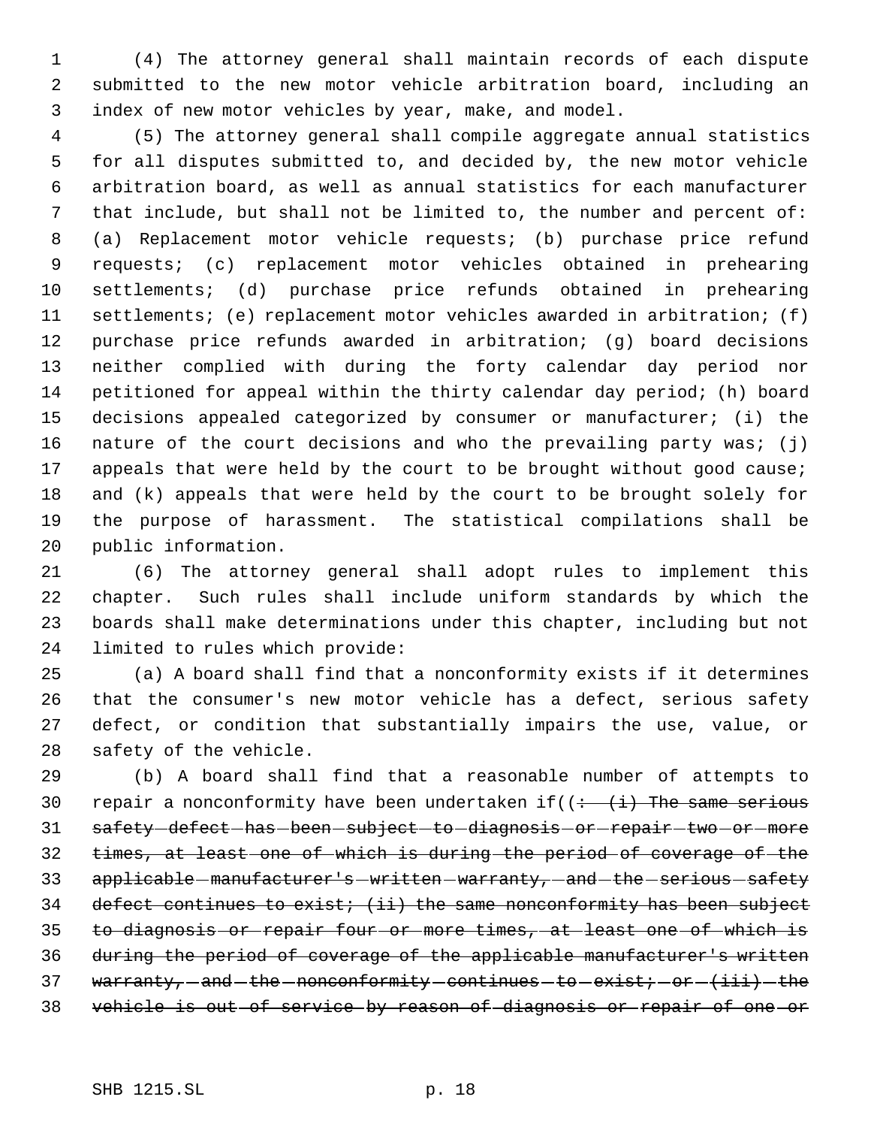(4) The attorney general shall maintain records of each dispute submitted to the new motor vehicle arbitration board, including an index of new motor vehicles by year, make, and model.

 (5) The attorney general shall compile aggregate annual statistics for all disputes submitted to, and decided by, the new motor vehicle arbitration board, as well as annual statistics for each manufacturer that include, but shall not be limited to, the number and percent of: (a) Replacement motor vehicle requests; (b) purchase price refund requests; (c) replacement motor vehicles obtained in prehearing settlements; (d) purchase price refunds obtained in prehearing settlements; (e) replacement motor vehicles awarded in arbitration; (f) purchase price refunds awarded in arbitration; (g) board decisions neither complied with during the forty calendar day period nor petitioned for appeal within the thirty calendar day period; (h) board decisions appealed categorized by consumer or manufacturer; (i) the nature of the court decisions and who the prevailing party was; (j) 17 appeals that were held by the court to be brought without good cause; and (k) appeals that were held by the court to be brought solely for the purpose of harassment. The statistical compilations shall be public information.

 (6) The attorney general shall adopt rules to implement this chapter. Such rules shall include uniform standards by which the boards shall make determinations under this chapter, including but not limited to rules which provide:

 (a) A board shall find that a nonconformity exists if it determines that the consumer's new motor vehicle has a defect, serious safety defect, or condition that substantially impairs the use, value, or safety of the vehicle.

 (b) A board shall find that a reasonable number of attempts to 30 repair a nonconformity have been undertaken if( $\left( \div \right)$  (i) The same serious 31 safety defect has been subject to diagnosis or repair two or more times, at least one of which is during the period of coverage of the 33 applicable - manufacturer's - written - warranty, - and - the - serious - safety 34 defect continues to exist; (ii) the same nonconformity has been subject to diagnosis or repair four or more times, at least one of which is during the period of coverage of the applicable manufacturer's written 37 warranty,  $-$  and  $-$  the  $-$  nonconformity  $-$  continues  $-$  to  $-$  exist;  $-$  or  $(i$  iii)  $-$  the vehicle is out of service by reason of diagnosis or repair of one or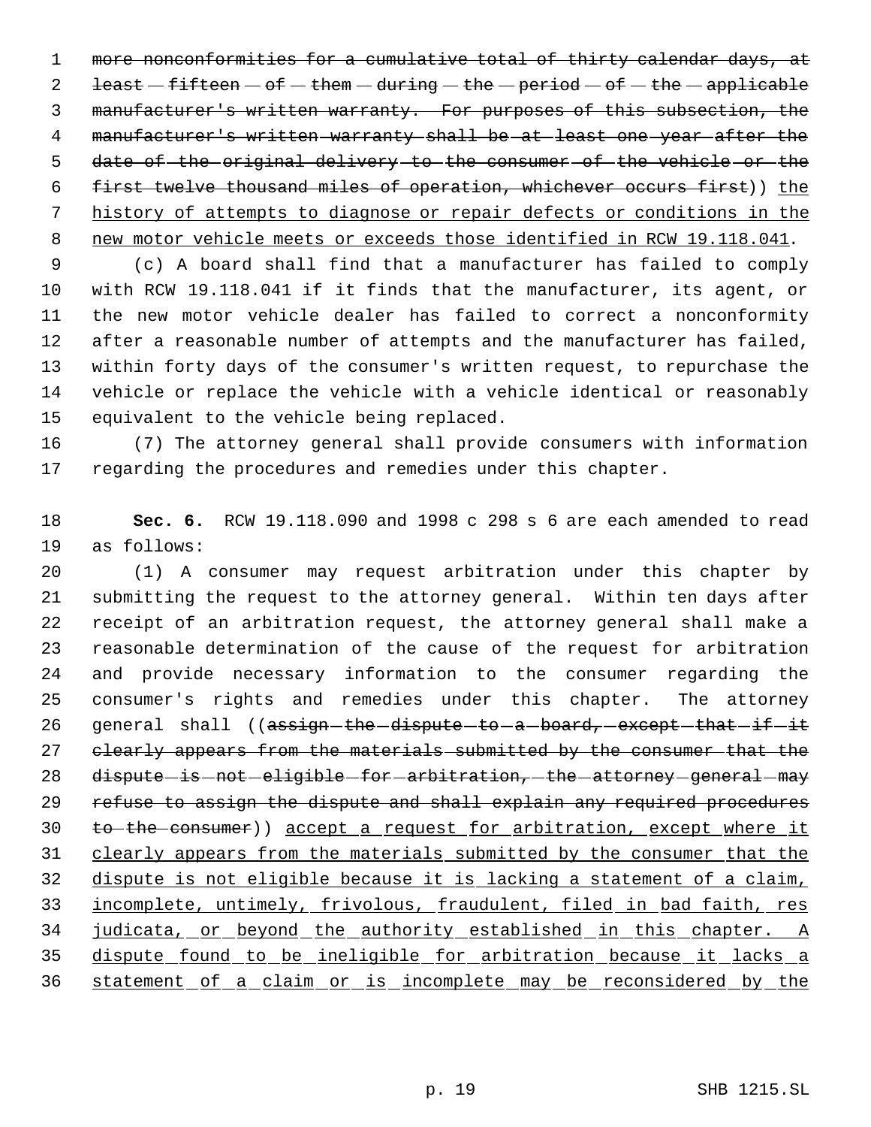more nonconformities for a cumulative total of thirty calendar days, at  $\text{least} - \text{fifteen} - \text{of} - \text{them} - \text{during} - \text{the} - \text{period} - \text{of} - \text{the} - \text{applicable}$  manufacturer's written warranty. For purposes of this subsection, the manufacturer's written warranty shall be at least one year after the 5 date of the original delivery to the consumer of the vehicle or the first twelve thousand miles of operation, whichever occurs first)) the history of attempts to diagnose or repair defects or conditions in the new motor vehicle meets or exceeds those identified in RCW 19.118.041.

 (c) A board shall find that a manufacturer has failed to comply with RCW 19.118.041 if it finds that the manufacturer, its agent, or the new motor vehicle dealer has failed to correct a nonconformity after a reasonable number of attempts and the manufacturer has failed, within forty days of the consumer's written request, to repurchase the vehicle or replace the vehicle with a vehicle identical or reasonably equivalent to the vehicle being replaced.

 (7) The attorney general shall provide consumers with information regarding the procedures and remedies under this chapter.

 **Sec. 6.** RCW 19.118.090 and 1998 c 298 s 6 are each amended to read as follows:

 (1) A consumer may request arbitration under this chapter by submitting the request to the attorney general. Within ten days after receipt of an arbitration request, the attorney general shall make a reasonable determination of the cause of the request for arbitration and provide necessary information to the consumer regarding the consumer's rights and remedies under this chapter. The attorney 26 general shall ((assign-the-dispute-to-a-board, except-that-if-it 27 clearly appears from the materials submitted by the consumer that the 28 dispute is not eligible for arbitration, the attorney general may refuse to assign the dispute and shall explain any required procedures to the consumer)) accept a request for arbitration, except where it clearly appears from the materials submitted by the consumer that the dispute is not eligible because it is lacking a statement of a claim, incomplete, untimely, frivolous, fraudulent, filed in bad faith, res 34 judicata, or beyond the authority established in this chapter. A dispute found to be ineligible for arbitration because it lacks a statement of a claim or is incomplete may be reconsidered by the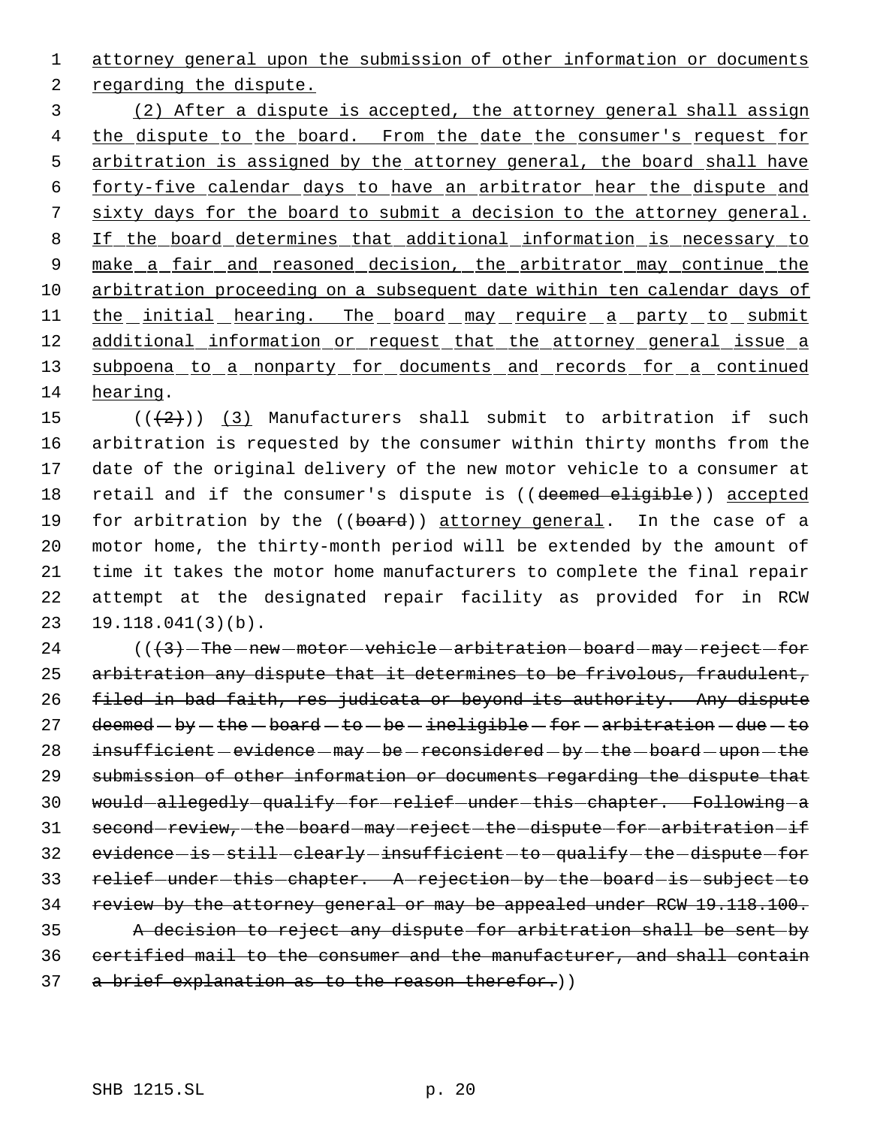attorney general upon the submission of other information or documents regarding the dispute. (2) After a dispute is accepted, the attorney general shall assign 4 the dispute to the board. From the date the consumer's request for 5 arbitration is assigned by the attorney general, the board shall have forty-five calendar days to have an arbitrator hear the dispute and sixty days for the board to submit a decision to the attorney general.

8 If the board determines that additional information is necessary to 9 make a fair and reasoned decision, the arbitrator may continue the 10 arbitration proceeding on a subsequent date within ten calendar days of 11 the initial hearing. The board may require a party to submit 12 additional information or request that the attorney general issue a 13 subpoena to a nonparty for documents and records for a continued 14 hearing.

 $((+2)^{n})$  (3) Manufacturers shall submit to arbitration if such arbitration is requested by the consumer within thirty months from the date of the original delivery of the new motor vehicle to a consumer at 18 retail and if the consumer's dispute is ((deemed eligible)) accepted 19 for arbitration by the ((board)) attorney general. In the case of a motor home, the thirty-month period will be extended by the amount of time it takes the motor home manufacturers to complete the final repair attempt at the designated repair facility as provided for in RCW 19.118.041(3)(b).

 $24$  ( $(\frac{3}{7} - \text{The}-\text{new}-\text{motor}-\text{which}-\text{arbitrary}-\text{reject}-\text{for}$ ) 25 arbitration any dispute that it determines to be frivolous, fraudulent, 26 filed in bad faith, res judicata or beyond its authority. Any dispute 27 deemed  $-$  by  $-$  the  $-$  board  $-$  to  $-$  be  $-$  ineligible  $-$  for  $-$  arbitration  $-$  due  $-$  to 28 insufficient - evidence - may - be - reconsidered - by - the - board - upon - the 29 submission of other information or documents regarding the dispute that 30 would-allegedly-qualify-for-relief-under-this-chapter. Following-a 31 second-review, the board may reject the dispute for arbitration if 32 evidence is still clearly insufficient to qualify the dispute for 33 relief-under-this-chapter. A-rejection-by-the-board-is-subject-to 34 review by the attorney general or may be appealed under RCW 19.118.100. 35 A decision to reject any dispute for arbitration shall be sent by 36 certified mail to the consumer and the manufacturer, and shall contain 37 a brief explanation as to the reason therefor.))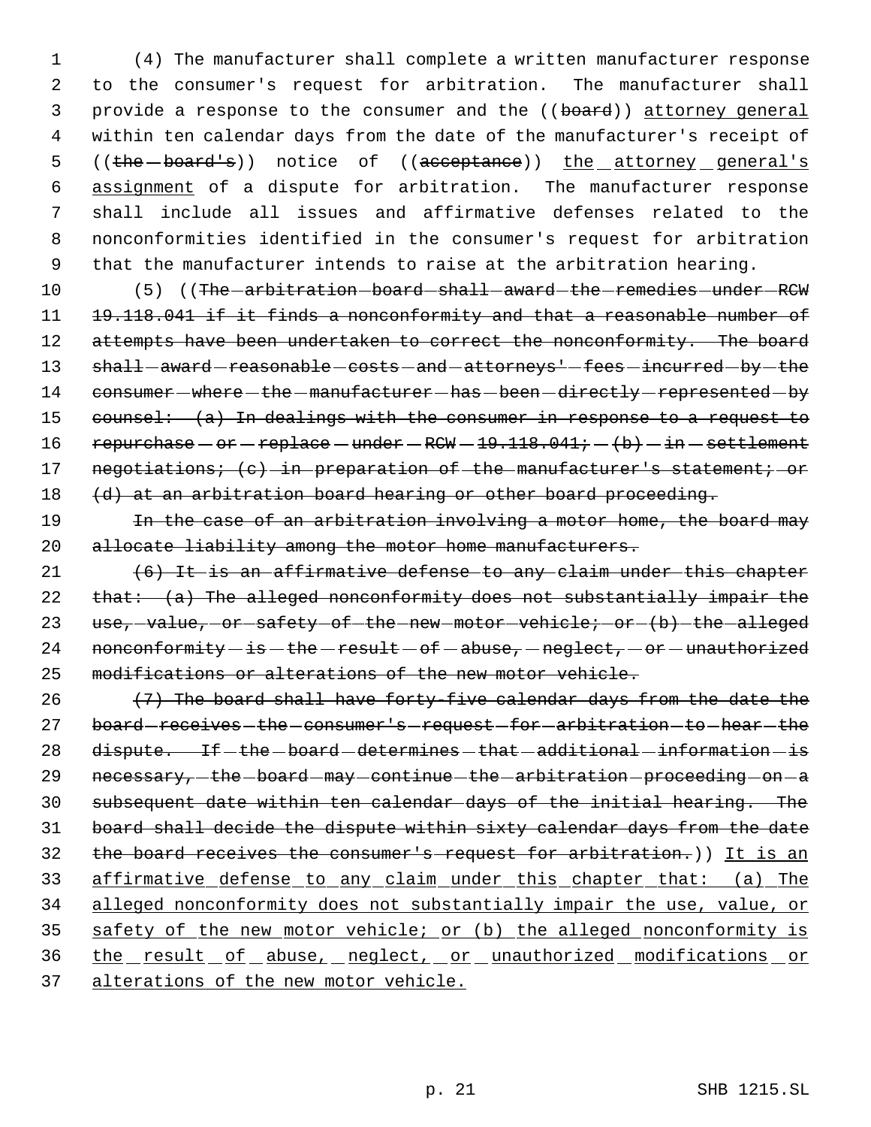(4) The manufacturer shall complete a written manufacturer response to the consumer's request for arbitration. The manufacturer shall 3 provide a response to the consumer and the ((board)) attorney general within ten calendar days from the date of the manufacturer's receipt of 5 ((the -board's)) notice of ((acceptance)) the attorney general's assignment of a dispute for arbitration. The manufacturer response shall include all issues and affirmative defenses related to the nonconformities identified in the consumer's request for arbitration that the manufacturer intends to raise at the arbitration hearing.

10 (5) ((The -arbitration - board - shall - award - the - remedies - under - RCW 11 19.118.041 if it finds a nonconformity and that a reasonable number of 12 attempts have been undertaken to correct the nonconformity. The board 13 shall-award-reasonable-costs-and-attorneys'-fees-incurred-by-the 14 consumer – where – the – manufacturer – has – been – directly – represented – by 15 counsel: (a) In dealings with the consumer in response to a request to 16 repurchase  $-$  or  $-$  replace  $-$  under  $-$  RCW  $-$  19.118.041;  $-$  (b)  $-$  in  $-$  settlement 17 negotiations; (c) in preparation of the manufacturer's statement; or 18 (d) at an arbitration board hearing or other board proceeding.

19 19 In the case of an arbitration involving a motor home, the board may 20 allocate liability among the motor home manufacturers.

 $21$   $(6)$  It is an affirmative defense to any claim under this chapter 22  $that: (a)$  The alleged nonconformity does not substantially impair the 23 use, value, or safety of the new motor vehicle; or (b) the alleged 24 nonconformity  $-i$ s - the - result - of - abuse, - neglect, - or - unauthorized 25 modifications or alterations of the new motor vehicle.

26  $(7)$  The board shall have forty-five calendar days from the date the 27 board-receives-the-consumer's-request-for-arbitration-to-hear-the 28 dispute. If -the -board -determines -that -additional -information - is 29 necessary, the board may continue the arbitration proceeding on a 30 subsequent date within ten calendar days of the initial hearing. The 31 board shall decide the dispute within sixty calendar days from the date 32 the board receives the consumer's request for arbitration.)) It is an 33 affirmative defense to any claim under this chapter that: (a) The 34 alleged nonconformity does not substantially impair the use, value, or 35 safety of the new motor vehicle; or (b) the alleged nonconformity is 36 the result of abuse, neglect, or unauthorized modifications or 37 alterations of the new motor vehicle.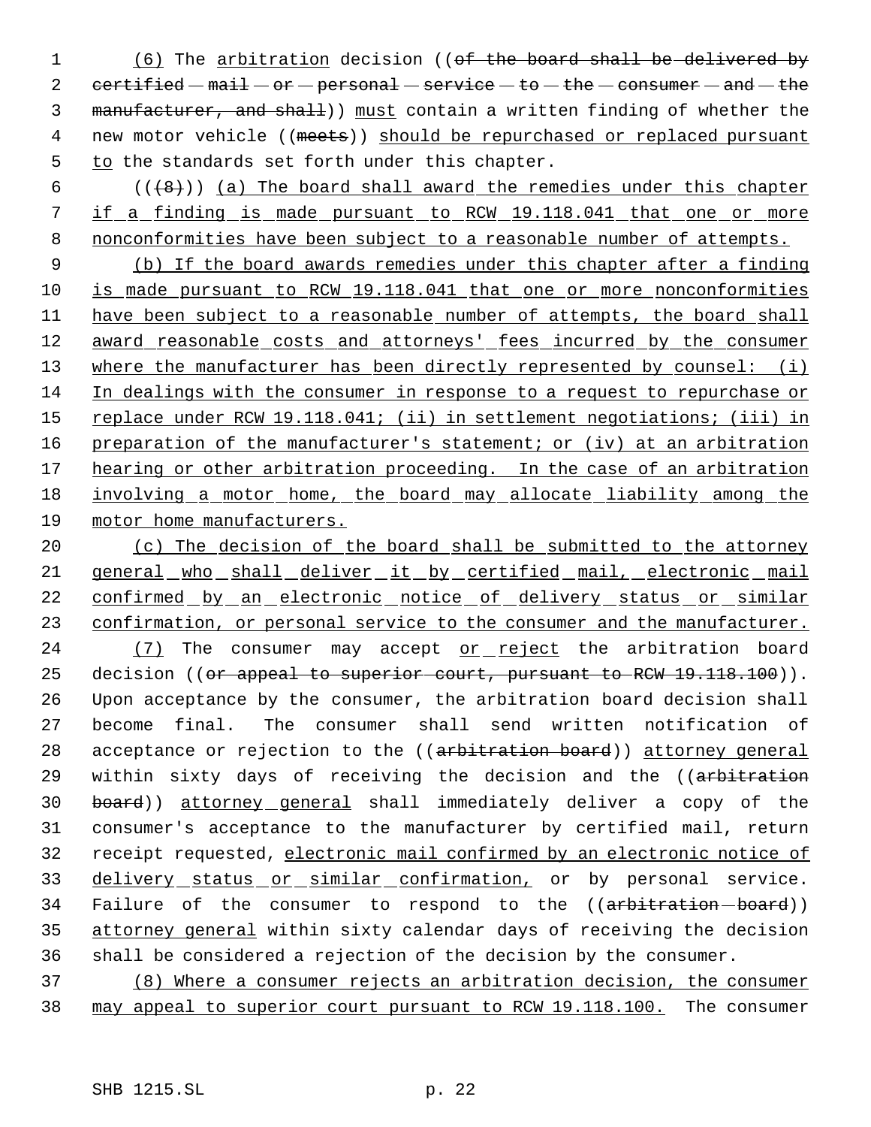1 (6) The arbitration decision ((of the board shall be delivered by 2  $certified - mail - or - personal - service - to - the - consumer - and - the$ 3 manufacturer, and shall)) must contain a written finding of whether the 4 new motor vehicle ((meets)) should be repurchased or replaced pursuant 5 to the standards set forth under this chapter.

 $6$  ( $(\frac{48}{})$ ) (a) The board shall award the remedies under this chapter 7 if a finding is made pursuant to RCW 19.118.041 that one or more 8 nonconformities have been subject to a reasonable number of attempts.

 9 (b) If the board awards remedies under this chapter after a finding 10 is made pursuant to RCW 19.118.041 that one or more nonconformities 11 have been subject to a reasonable number of attempts, the board shall 12 award reasonable costs and attorneys' fees incurred by the consumer 13 where the manufacturer has been directly represented by counsel: (i) 14 In dealings with the consumer in response to a request to repurchase or 15 replace under RCW 19.118.041; (ii) in settlement negotiations; (iii) in 16 preparation of the manufacturer's statement; or (iv) at an arbitration 17 hearing or other arbitration proceeding. In the case of an arbitration 18 involving a motor home, the board may allocate liability among the 19 motor home manufacturers.

20 (c) The decision of the board shall be submitted to the attorney 21 general who shall deliver it by certified mail, electronic mail 22 confirmed by an electronic notice of delivery status or similar 23 confirmation, or personal service to the consumer and the manufacturer. 24 (7) The consumer may accept or reject the arbitration board 25 decision (( $or$  appeal to superior court, pursuant to RCW  $19.118.100$ )). 26 Upon acceptance by the consumer, the arbitration board decision shall 27 become final. The consumer shall send written notification of 28 acceptance or rejection to the ((arbitration board)) attorney general 29 within sixty days of receiving the decision and the ((arbitration 30 board)) attorney general shall immediately deliver a copy of the 31 consumer's acceptance to the manufacturer by certified mail, return 32 receipt requested, electronic mail confirmed by an electronic notice of 33 delivery status or similar confirmation, or by personal service. 34 Failure of the consumer to respond to the ((arbitration-board)) 35 attorney general within sixty calendar days of receiving the decision 36 shall be considered a rejection of the decision by the consumer.

37 (8) Where a consumer rejects an arbitration decision, the consumer 38 may appeal to superior court pursuant to RCW 19.118.100. The consumer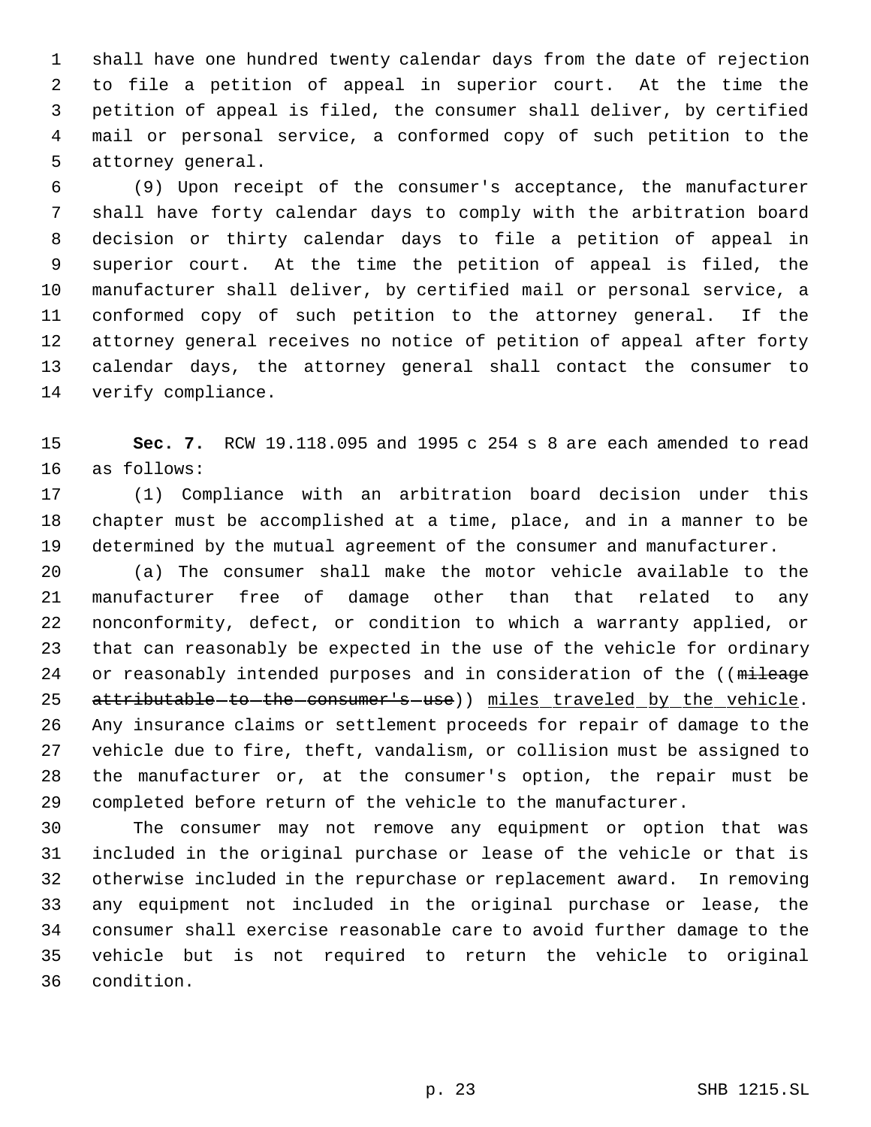shall have one hundred twenty calendar days from the date of rejection to file a petition of appeal in superior court. At the time the petition of appeal is filed, the consumer shall deliver, by certified mail or personal service, a conformed copy of such petition to the attorney general.

 (9) Upon receipt of the consumer's acceptance, the manufacturer shall have forty calendar days to comply with the arbitration board decision or thirty calendar days to file a petition of appeal in superior court. At the time the petition of appeal is filed, the manufacturer shall deliver, by certified mail or personal service, a conformed copy of such petition to the attorney general. If the attorney general receives no notice of petition of appeal after forty calendar days, the attorney general shall contact the consumer to verify compliance.

 **Sec. 7.** RCW 19.118.095 and 1995 c 254 s 8 are each amended to read as follows:

 (1) Compliance with an arbitration board decision under this chapter must be accomplished at a time, place, and in a manner to be determined by the mutual agreement of the consumer and manufacturer.

 (a) The consumer shall make the motor vehicle available to the manufacturer free of damage other than that related to any nonconformity, defect, or condition to which a warranty applied, or that can reasonably be expected in the use of the vehicle for ordinary 24 or reasonably intended purposes and in consideration of the ((mileage 25 attributable-to-the-consumer's-use)) miles traveled by the vehicle. Any insurance claims or settlement proceeds for repair of damage to the vehicle due to fire, theft, vandalism, or collision must be assigned to the manufacturer or, at the consumer's option, the repair must be completed before return of the vehicle to the manufacturer.

 The consumer may not remove any equipment or option that was included in the original purchase or lease of the vehicle or that is otherwise included in the repurchase or replacement award. In removing any equipment not included in the original purchase or lease, the consumer shall exercise reasonable care to avoid further damage to the vehicle but is not required to return the vehicle to original condition.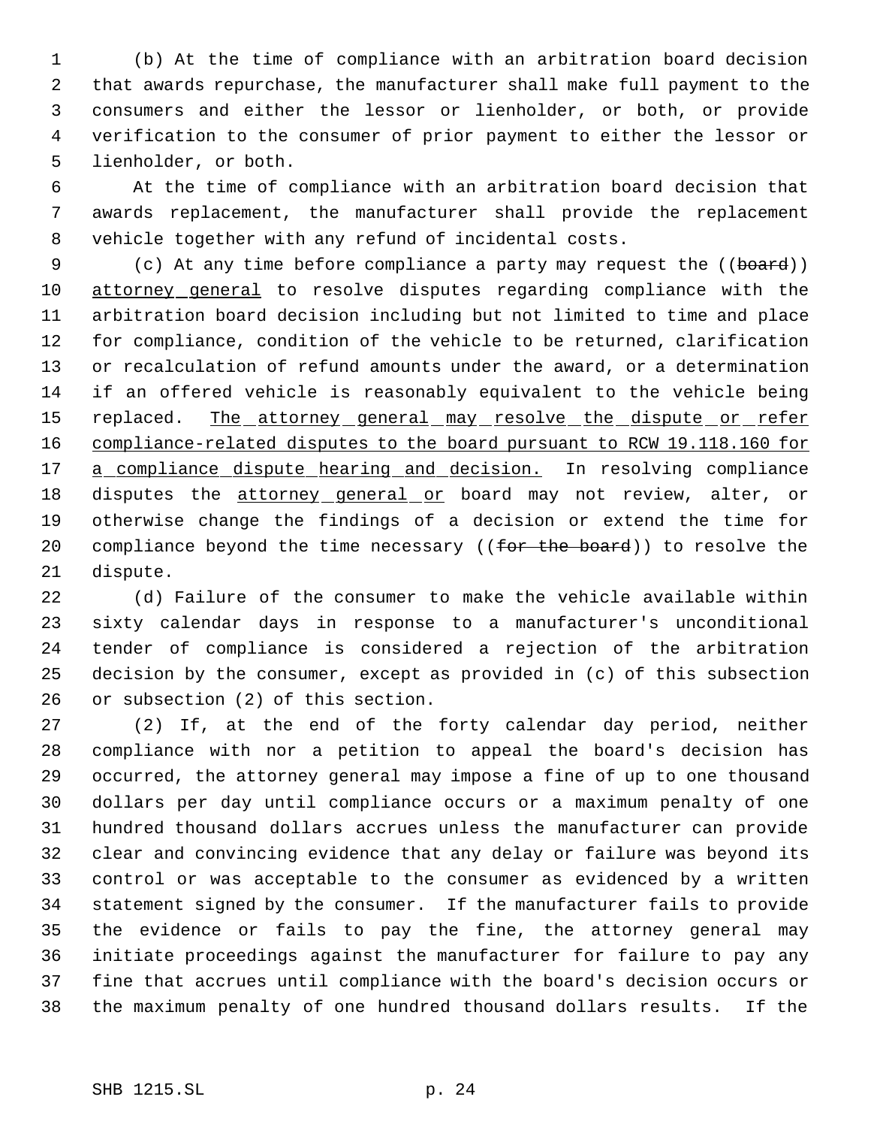(b) At the time of compliance with an arbitration board decision that awards repurchase, the manufacturer shall make full payment to the consumers and either the lessor or lienholder, or both, or provide verification to the consumer of prior payment to either the lessor or lienholder, or both.

 At the time of compliance with an arbitration board decision that awards replacement, the manufacturer shall provide the replacement vehicle together with any refund of incidental costs.

9 (c) At any time before compliance a party may request the ((board)) attorney general to resolve disputes regarding compliance with the arbitration board decision including but not limited to time and place for compliance, condition of the vehicle to be returned, clarification or recalculation of refund amounts under the award, or a determination if an offered vehicle is reasonably equivalent to the vehicle being 15 replaced. The attorney general may resolve the dispute or refer compliance-related disputes to the board pursuant to RCW 19.118.160 for 17 a compliance dispute hearing and decision. In resolving compliance 18 disputes the attorney general or board may not review, alter, or otherwise change the findings of a decision or extend the time for 20 compliance beyond the time necessary ((for the board)) to resolve the dispute.

 (d) Failure of the consumer to make the vehicle available within sixty calendar days in response to a manufacturer's unconditional tender of compliance is considered a rejection of the arbitration decision by the consumer, except as provided in (c) of this subsection or subsection (2) of this section.

 (2) If, at the end of the forty calendar day period, neither compliance with nor a petition to appeal the board's decision has occurred, the attorney general may impose a fine of up to one thousand dollars per day until compliance occurs or a maximum penalty of one hundred thousand dollars accrues unless the manufacturer can provide clear and convincing evidence that any delay or failure was beyond its control or was acceptable to the consumer as evidenced by a written statement signed by the consumer. If the manufacturer fails to provide the evidence or fails to pay the fine, the attorney general may initiate proceedings against the manufacturer for failure to pay any fine that accrues until compliance with the board's decision occurs or the maximum penalty of one hundred thousand dollars results. If the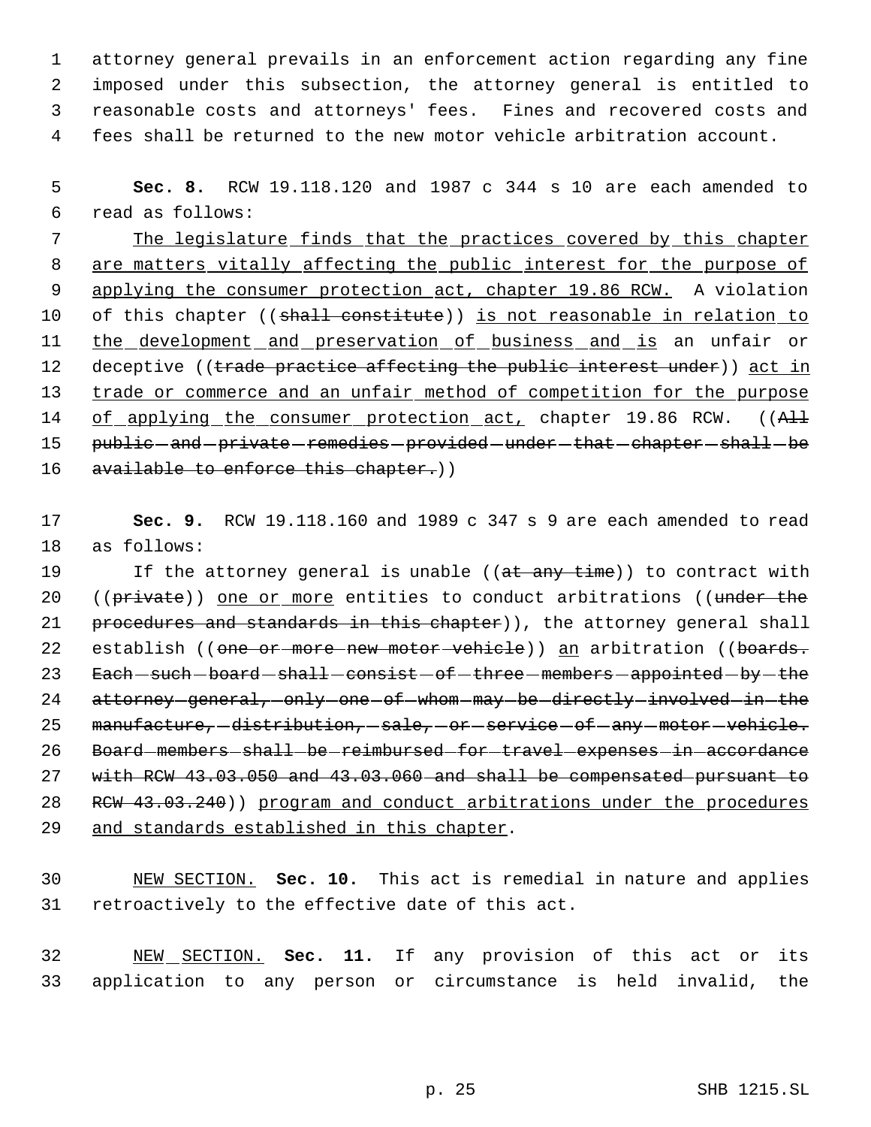attorney general prevails in an enforcement action regarding any fine imposed under this subsection, the attorney general is entitled to reasonable costs and attorneys' fees. Fines and recovered costs and fees shall be returned to the new motor vehicle arbitration account.

 5 **Sec. 8.** RCW 19.118.120 and 1987 c 344 s 10 are each amended to 6 read as follows:

7 The legislature finds that the practices covered by this chapter 8 are matters vitally affecting the public interest for the purpose of 9 applying the consumer protection act, chapter 19.86 RCW. A violation 10 of this chapter ((shall constitute)) is not reasonable in relation to 11 the development and preservation of business and is an unfair or 12 deceptive ((trade practice affecting the public interest under)) act in 13 trade or commerce and an unfair method of competition for the purpose 14 of applying the consumer protection act, chapter 19.86 RCW. ((All 15 public-and-private-remedies-provided-under-that-chapter-shall-be 16 available to enforce this chapter.))

17 **Sec. 9.** RCW 19.118.160 and 1989 c 347 s 9 are each amended to read 18 as follows:

19 If the attorney general is unable ((at any time)) to contract with 20 ((private)) one or more entities to conduct arbitrations ((under the 21 procedures and standards in this chapter)), the attorney general shall 22 establish ((one or more new motor vehicle)) an arbitration ((boards. 23 Each-such-board-shall-consist-of-three-members-appointed-by-the 24 attorney-general, only one of whom may be directly involved in the 25 manufacture, -distribution, -sale, -or -service -of -any -motor -vehicle. 26 Board-members-shall-be-reimbursed-for-travel-expenses-in-accordance 27 with RCW 43.03.050 and 43.03.060 and shall be compensated pursuant to 28 RCW 43.03.240)) program and conduct arbitrations under the procedures 29 and standards established in this chapter.

30 NEW SECTION. **Sec. 10.** This act is remedial in nature and applies 31 retroactively to the effective date of this act.

32 NEW SECTION. **Sec. 11.** If any provision of this act or its 33 application to any person or circumstance is held invalid, the